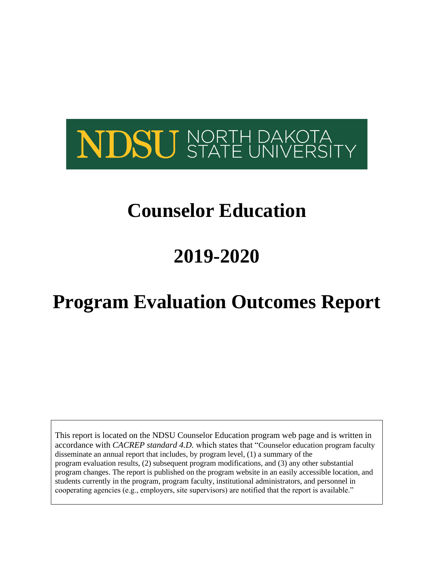

# **Counselor Education**

# **2019-2020**

# **Program Evaluation Outcomes Report**

This report is located on the NDSU Counselor Education program web page and is written in accordance with *CACREP standard 4.D.* which states that "Counselor education program faculty disseminate an annual report that includes, by program level, (1) a summary of the program evaluation results, (2) subsequent program modifications, and (3) any other substantial program changes. The report is published on the program website in an easily accessible location, and students currently in the program, program faculty, institutional administrators, and personnel in cooperating agencies (e.g., employers, site supervisors) are notified that the report is available."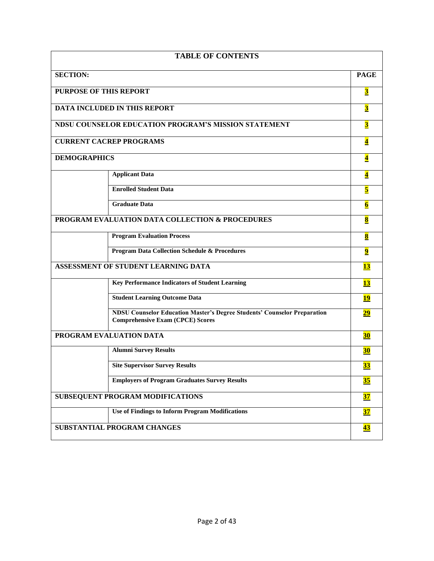| <b>TABLE OF CONTENTS</b>                                                                                                   |                          |  |
|----------------------------------------------------------------------------------------------------------------------------|--------------------------|--|
| <b>SECTION:</b>                                                                                                            | <b>PAGE</b>              |  |
| PURPOSE OF THIS REPORT                                                                                                     | $\overline{\mathbf{3}}$  |  |
| <b>DATA INCLUDED IN THIS REPORT</b>                                                                                        | $\overline{\mathbf{3}}$  |  |
| <b>NDSU COUNSELOR EDUCATION PROGRAM'S MISSION STATEMENT</b>                                                                | $\overline{\mathbf{3}}$  |  |
| <b>CURRENT CACREP PROGRAMS</b>                                                                                             | $\overline{\mathbf{4}}$  |  |
| <b>DEMOGRAPHICS</b>                                                                                                        | $\overline{\mathbf{4}}$  |  |
| <b>Applicant Data</b>                                                                                                      | $\overline{\mathbf{4}}$  |  |
| <b>Enrolled Student Data</b>                                                                                               | 5                        |  |
| <b>Graduate Data</b>                                                                                                       | $\overline{\mathbf{6}}$  |  |
| PROGRAM EVALUATION DATA COLLECTION & PROCEDURES                                                                            | $\bf{8}$                 |  |
| <b>Program Evaluation Process</b>                                                                                          | $\bf{8}$                 |  |
| <b>Program Data Collection Schedule &amp; Procedures</b>                                                                   | $\overline{\mathbf{9}}$  |  |
| ASSESSMENT OF STUDENT LEARNING DATA                                                                                        | <b>13</b>                |  |
| <b>Key Performance Indicators of Student Learning</b>                                                                      | <b>13</b>                |  |
| <b>Student Learning Outcome Data</b>                                                                                       | <u>19</u>                |  |
| <b>NDSU Counselor Education Master's Degree Students' Counselor Preparation</b><br><b>Comprehensive Exam (CPCE) Scores</b> | <u>29</u>                |  |
| PROGRAM EVALUATION DATA                                                                                                    | $\overline{\mathbf{30}}$ |  |
| <b>Alumni Survey Results</b>                                                                                               | <b>30</b>                |  |
| <b>Site Supervisor Survey Results</b>                                                                                      | <u>33</u>                |  |
| <b>Employers of Program Graduates Survey Results</b>                                                                       |                          |  |
| SUBSEQUENT PROGRAM MODIFICATIONS                                                                                           | $\overline{\mathbf{37}}$ |  |
| <b>Use of Findings to Inform Program Modifications</b>                                                                     | $\overline{\mathbf{37}}$ |  |
| SUBSTANTIAL PROGRAM CHANGES                                                                                                | <u>43</u>                |  |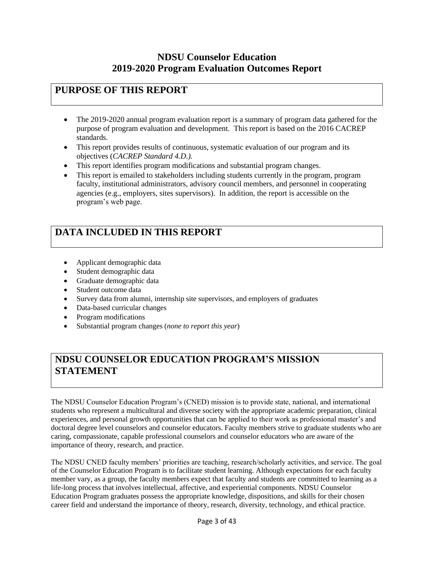### **NDSU Counselor Education 2019-2020 Program Evaluation Outcomes Report**

### <span id="page-2-0"></span>**PURPOSE OF THIS REPORT**

- The 2019-2020 annual program evaluation report is a summary of program data gathered for the purpose of program evaluation and development. This report is based on the 2016 CACREP standards.
- This report provides results of continuous, systematic evaluation of our program and its objectives (*CACREP Standard 4.D.).*
- This report identifies program modifications and substantial program changes.
- This report is emailed to stakeholders including students currently in the program, program faculty, institutional administrators, advisory council members, and personnel in cooperating agencies (e.g., employers, sites supervisors). In addition, the report is accessible on the program's web page.

# **DATA INCLUDED IN THIS REPORT**

- Applicant demographic data
- Student demographic data
- Graduate demographic data
- Student outcome data
- Survey data from alumni, internship site supervisors, and employers of graduates
- Data-based curricular changes
- Program modifications
- Substantial program changes (*none to report this year*)

# **NDSU COUNSELOR EDUCATION PROGRAM'S MISSION STATEMENT**

The NDSU Counselor Education Program's (CNED) mission is to provide state, national, and international students who represent a multicultural and diverse society with the appropriate academic preparation, clinical experiences, and personal growth opportunities that can be applied to their work as professional master's and doctoral degree level counselors and counselor educators. Faculty members strive to graduate students who are caring, compassionate, capable professional counselors and counselor educators who are aware of the importance of theory, research, and practice.

The NDSU CNED faculty members' priorities are teaching, research/scholarly activities, and service. The goal of the Counselor Education Program is to facilitate student learning. Although expectations for each faculty member vary, as a group, the faculty members expect that faculty and students are committed to learning as a life-long process that involves intellectual, affective, and experiential components. NDSU Counselor Education Program graduates possess the appropriate knowledge, dispositions, and skills for their chosen career field and understand the importance of theory, research, diversity, technology, and ethical practice.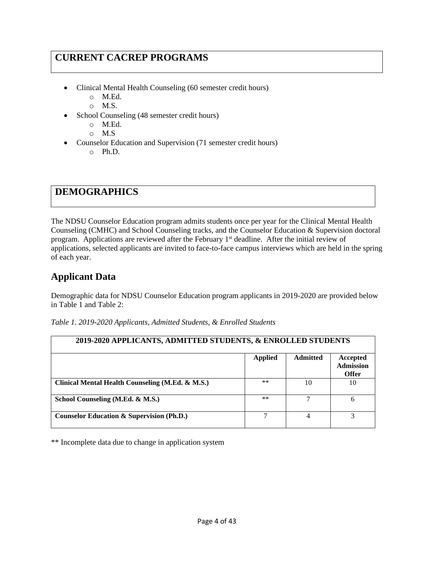# <span id="page-3-0"></span>**CURRENT CACREP PROGRAMS**

- Clinical Mental Health Counseling (60 semester credit hours)
	- o M.Ed.
	- o M.S.
- School Counseling (48 semester credit hours)
	- o M.Ed.
	- o M.S
- Counselor Education and Supervision (71 semester credit hours) o Ph.D.

### **DEMOGRAPHICS**

The NDSU Counselor Education program admits students once per year for the Clinical Mental Health Counseling (CMHC) and School Counseling tracks, and the Counselor Education & Supervision doctoral program. Applications are reviewed after the February 1<sup>st</sup> deadline. After the initial review of applications, selected applicants are invited to face-to-face campus interviews which are held in the spring of each year.

### **Applicant Data**

Demographic data for NDSU Counselor Education program applicants in 2019-2020 are provided below in Table 1 and Table 2:

| 2019-2020 APPLICANTS, ADMITTED STUDENTS, & ENROLLED STUDENTS |                |                 |                                              |
|--------------------------------------------------------------|----------------|-----------------|----------------------------------------------|
|                                                              | <b>Applied</b> | <b>Admitted</b> | Accepted<br><b>Admission</b><br><b>Offer</b> |
| Clinical Mental Health Counseling (M.Ed. & M.S.)             | $***$          | 10              | 10                                           |
| School Counseling (M.Ed. & M.S.)                             | $***$          |                 | 6                                            |
| <b>Counselor Education &amp; Supervision (Ph.D.)</b>         |                |                 |                                              |

*Table 1. 2019-2020 Applicants, Admitted Students, & Enrolled Students*

\*\* Incomplete data due to change in application system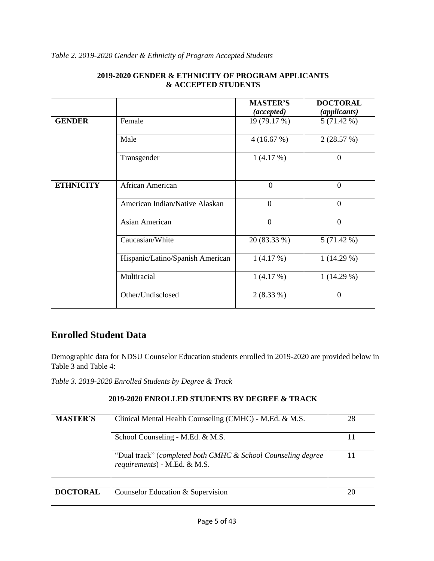| 2019-2020 GENDER & ETHNICITY OF PROGRAM APPLICANTS<br><b>&amp; ACCEPTED STUDENTS</b> |                                  |                               |                                 |
|--------------------------------------------------------------------------------------|----------------------------------|-------------------------------|---------------------------------|
|                                                                                      |                                  | <b>MASTER'S</b><br>(accepted) | <b>DOCTORAL</b><br>(applicants) |
| <b>GENDER</b>                                                                        | Female                           | 19 (79.17 %)                  | 5(71.42%)                       |
|                                                                                      | Male                             | 4(16.67%)                     | 2(28.57%)                       |
|                                                                                      | Transgender                      | 1(4.17%)                      | $\boldsymbol{0}$                |
| <b>ETHNICITY</b>                                                                     | African American                 | $\overline{0}$                | $\overline{0}$                  |
|                                                                                      | American Indian/Native Alaskan   | $\Omega$                      | $\overline{0}$                  |
|                                                                                      | Asian American                   | $\overline{0}$                | $\overline{0}$                  |
|                                                                                      | Caucasian/White                  | 20 (83.33 %)                  | 5(71.42%)                       |
|                                                                                      | Hispanic/Latino/Spanish American | 1(4.17%)                      | $1(14.29\%)$                    |
|                                                                                      | Multiracial                      | 1(4.17%)                      | $1(14.29\%)$                    |
|                                                                                      | Other/Undisclosed                | $2(8.33\%)$                   | $\Omega$                        |

### <span id="page-4-0"></span>*Table 2. 2019-2020 Gender & Ethnicity of Program Accepted Students*

### **Enrolled Student Data**

Demographic data for NDSU Counselor Education students enrolled in 2019-2020 are provided below in Table 3 and Table 4:

*Table 3. 2019-2020 Enrolled Students by Degree & Track*

|                 | 2019-2020 ENROLLED STUDENTS BY DEGREE & TRACK                                                |    |
|-----------------|----------------------------------------------------------------------------------------------|----|
| <b>MASTER'S</b> | Clinical Mental Health Counseling (CMHC) - M.Ed. & M.S.                                      | 28 |
|                 | School Counseling - M.Ed. & M.S.                                                             |    |
|                 | "Dual track" (completed both CMHC & School Counseling degree<br>requirements) - M.Ed. & M.S. |    |
|                 |                                                                                              |    |
| <b>DOCTORAL</b> | Counselor Education & Supervision                                                            | 20 |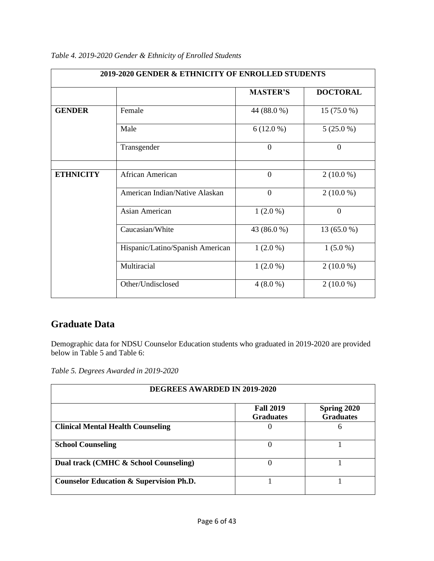|                  | 2019-2020 GENDER & ETHNICITY OF ENROLLED STUDENTS |                 |                 |
|------------------|---------------------------------------------------|-----------------|-----------------|
|                  |                                                   | <b>MASTER'S</b> | <b>DOCTORAL</b> |
| <b>GENDER</b>    | Female                                            | 44 (88.0 %)     | $15(75.0\%)$    |
|                  | Male                                              | $6(12.0\%)$     | $5(25.0\%)$     |
|                  | Transgender                                       | $\overline{0}$  | $\overline{0}$  |
| <b>ETHNICITY</b> | African American                                  | $\overline{0}$  | $2(10.0\%)$     |
|                  | American Indian/Native Alaskan                    | $\overline{0}$  | $2(10.0\%)$     |
|                  | Asian American                                    | $1(2.0\%)$      | $\overline{0}$  |
|                  | Caucasian/White                                   | 43 (86.0 %)     | 13 (65.0 %)     |
|                  | Hispanic/Latino/Spanish American                  | $1(2.0\%)$      | $1(5.0\%)$      |
|                  | Multiracial                                       | $1(2.0\%)$      | $2(10.0\%)$     |
|                  | Other/Undisclosed                                 | $4(8.0\%)$      | $2(10.0\%)$     |

<span id="page-5-0"></span>*Table 4. 2019-2020 Gender & Ethnicity of Enrolled Students*

### **Graduate Data**

Demographic data for NDSU Counselor Education students who graduated in 2019-2020 are provided below in Table 5 and Table 6:

*Table 5. Degrees Awarded in 2019-2020*

| <b>DEGREES AWARDED IN 2019-2020</b>                |                                      |                                 |  |
|----------------------------------------------------|--------------------------------------|---------------------------------|--|
|                                                    | <b>Fall 2019</b><br><b>Graduates</b> | Spring 2020<br><b>Graduates</b> |  |
| <b>Clinical Mental Health Counseling</b>           |                                      | 6                               |  |
| <b>School Counseling</b>                           |                                      |                                 |  |
| Dual track (CMHC & School Counseling)              | $\theta$                             |                                 |  |
| <b>Counselor Education &amp; Supervision Ph.D.</b> |                                      |                                 |  |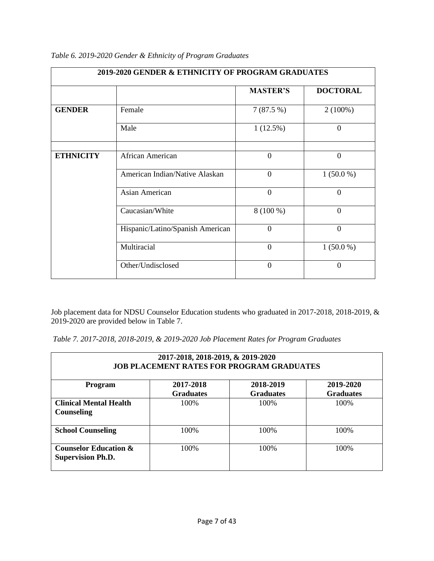|                  | 2019-2020 GENDER & ETHNICITY OF PROGRAM GRADUATES |                 |                 |
|------------------|---------------------------------------------------|-----------------|-----------------|
|                  |                                                   | <b>MASTER'S</b> | <b>DOCTORAL</b> |
| <b>GENDER</b>    | Female                                            | 7(87.5%)        | $2(100\%)$      |
|                  | Male                                              | 1(12.5%)        | $\overline{0}$  |
| <b>ETHNICITY</b> | African American                                  | $\mathbf{0}$    | $\overline{0}$  |
|                  | American Indian/Native Alaskan                    | $\overline{0}$  | $1(50.0\%)$     |
|                  | <b>Asian American</b>                             | $\theta$        | $\Omega$        |
|                  | Caucasian/White                                   | $8(100\%)$      | $\Omega$        |
|                  | Hispanic/Latino/Spanish American                  | $\overline{0}$  | $\overline{0}$  |
|                  | Multiracial                                       | $\theta$        | $1(50.0\%)$     |
|                  | Other/Undisclosed                                 | $\theta$        | $\theta$        |

*Table 6. 2019-2020 Gender & Ethnicity of Program Graduates*

Job placement data for NDSU Counselor Education students who graduated in 2017-2018, 2018-2019, & 2019-2020 are provided below in Table 7.

| Table 7. 2017-2018, 2018-2019, & 2019-2020 Job Placement Rates for Program Graduates |  |  |
|--------------------------------------------------------------------------------------|--|--|
|--------------------------------------------------------------------------------------|--|--|

| 2017-2018, 2018-2019, & 2019-2020<br><b>JOB PLACEMENT RATES FOR PROGRAM GRADUATES</b>                             |       |      |       |  |
|-------------------------------------------------------------------------------------------------------------------|-------|------|-------|--|
| 2017-2018<br>2018-2019<br>2019-2020<br><b>Program</b><br><b>Graduates</b><br><b>Graduates</b><br><b>Graduates</b> |       |      |       |  |
| <b>Clinical Mental Health</b><br><b>Counseling</b>                                                                | 100%  | 100% | 100%  |  |
| <b>School Counseling</b>                                                                                          | 100\% | 100% | 100%  |  |
| <b>Counselor Education &amp;</b><br><b>Supervision Ph.D.</b>                                                      | 100\% | 100% | 100\% |  |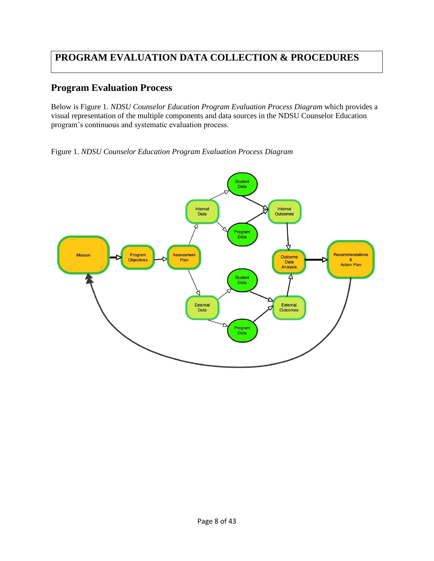# <span id="page-7-0"></span>**PROGRAM EVALUATION DATA COLLECTION & PROCEDURES**

### **Program Evaluation Process**

Below is Figure 1. *NDSU Counselor Education Program Evaluation Process Diagram* which provides a visual representation of the multiple components and data sources in the NDSU Counselor Education program's continuous and systematic evaluation process.

Figure 1. *NDSU Counselor Education Program Evaluation Process Diagram*

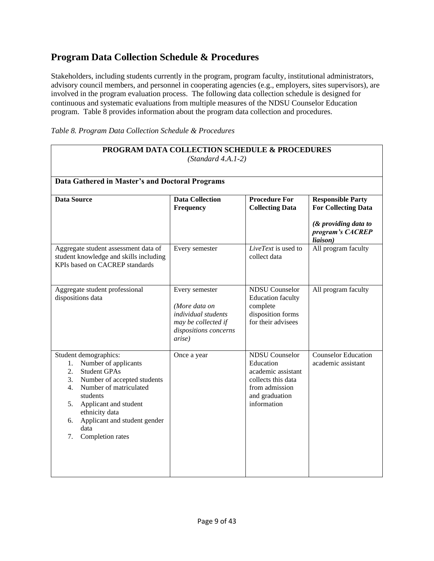### <span id="page-8-0"></span>**Program Data Collection Schedule & Procedures**

Stakeholders, including students currently in the program, program faculty, institutional administrators, advisory council members, and personnel in cooperating agencies (e.g., employers, sites supervisors), are involved in the program evaluation process. The following data collection schedule is designed for continuous and systematic evaluations from multiple measures of the NDSU Counselor Education program. Table 8 provides information about the program data collection and procedures.

| Table 8. Program Data Collection Schedule & Procedures |  |  |
|--------------------------------------------------------|--|--|
|--------------------------------------------------------|--|--|

| PROGRAM DATA COLLECTION SCHEDULE & PROCEDURES<br>$(Standard 4.A.1-2)$                                                                                                                                                                                                                      |                                                                                                                                 |                                                                                                                                   |                                                        |
|--------------------------------------------------------------------------------------------------------------------------------------------------------------------------------------------------------------------------------------------------------------------------------------------|---------------------------------------------------------------------------------------------------------------------------------|-----------------------------------------------------------------------------------------------------------------------------------|--------------------------------------------------------|
| Data Gathered in Master's and Doctoral Programs                                                                                                                                                                                                                                            |                                                                                                                                 |                                                                                                                                   |                                                        |
| <b>Data Source</b>                                                                                                                                                                                                                                                                         | <b>Data Collection</b><br>Frequency                                                                                             | <b>Procedure For</b><br><b>Collecting Data</b>                                                                                    | <b>Responsible Party</b><br><b>For Collecting Data</b> |
|                                                                                                                                                                                                                                                                                            |                                                                                                                                 |                                                                                                                                   | $&$ providing data to<br>program's CACREP<br>liaison)  |
| Aggregate student assessment data of<br>student knowledge and skills including<br>KPIs based on CACREP standards                                                                                                                                                                           | Every semester                                                                                                                  | LiveText is used to<br>collect data                                                                                               | All program faculty                                    |
| Aggregate student professional<br>dispositions data                                                                                                                                                                                                                                        | Every semester<br>(More data on<br><i>individual students</i><br>may be collected if<br>dispositions concerns<br><i>arise</i> ) | <b>NDSU</b> Counselor<br><b>Education</b> faculty<br>complete<br>disposition forms<br>for their advisees                          | All program faculty                                    |
| Student demographics:<br>Number of applicants<br>1.<br><b>Student GPAs</b><br>2.<br>3.<br>Number of accepted students<br>Number of matriculated<br>4.<br>students<br>Applicant and student<br>5.<br>ethnicity data<br>Applicant and student gender<br>6.<br>data<br>Completion rates<br>7. | Once a year                                                                                                                     | <b>NDSU</b> Counselor<br>Education<br>academic assistant<br>collects this data<br>from admission<br>and graduation<br>information | <b>Counselor Education</b><br>academic assistant       |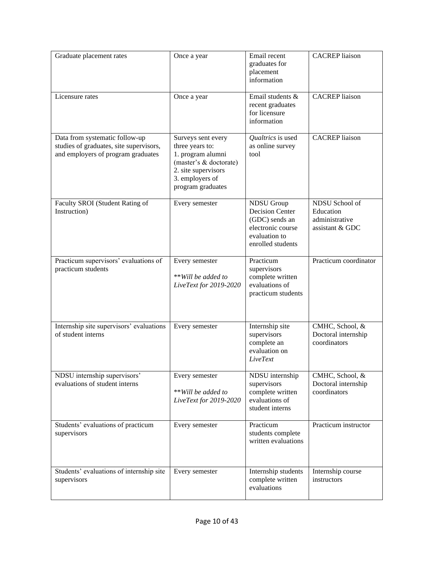| Graduate placement rates                                                                                        | Once a year                                                                                                                                         | Email recent<br>graduates for<br>placement<br>information                                                                | <b>CACREP</b> liaison                                            |
|-----------------------------------------------------------------------------------------------------------------|-----------------------------------------------------------------------------------------------------------------------------------------------------|--------------------------------------------------------------------------------------------------------------------------|------------------------------------------------------------------|
| Licensure rates                                                                                                 | Once a year                                                                                                                                         | Email students &<br>recent graduates<br>for licensure<br>information                                                     | <b>CACREP</b> liaison                                            |
| Data from systematic follow-up<br>studies of graduates, site supervisors,<br>and employers of program graduates | Surveys sent every<br>three years to:<br>1. program alumni<br>(master's & doctorate)<br>2. site supervisors<br>3. employers of<br>program graduates | Qualtrics is used<br>as online survey<br>tool                                                                            | <b>CACREP</b> liaison                                            |
| Faculty SROI (Student Rating of<br>Instruction)                                                                 | Every semester                                                                                                                                      | <b>NDSU</b> Group<br><b>Decision Center</b><br>(GDC) sends an<br>electronic course<br>evaluation to<br>enrolled students | NDSU School of<br>Education<br>administrative<br>assistant & GDC |
| Practicum supervisors' evaluations of<br>practicum students                                                     | Every semester<br>** Will be added to<br>LiveText for 2019-2020                                                                                     | Practicum<br>supervisors<br>complete written<br>evaluations of<br>practicum students                                     | Practicum coordinator                                            |
| Internship site supervisors' evaluations<br>of student interns                                                  | Every semester                                                                                                                                      | Internship site<br>supervisors<br>complete an<br>evaluation on<br>LiveText                                               | CMHC, School, &<br>Doctoral internship<br>coordinators           |
| NDSU internship supervisors'<br>evaluations of student interns                                                  | Every semester<br>** Will be added to<br>LiveText for 2019-2020                                                                                     | NDSU internship<br>supervisors<br>complete written<br>evaluations of<br>student interns                                  | CMHC, School, &<br>Doctoral internship<br>coordinators           |
| Students' evaluations of practicum<br>supervisors                                                               | Every semester                                                                                                                                      | Practicum<br>students complete<br>written evaluations                                                                    | Practicum instructor                                             |
| Students' evaluations of internship site<br>supervisors                                                         | Every semester                                                                                                                                      | Internship students<br>complete written<br>evaluations                                                                   | Internship course<br>instructors                                 |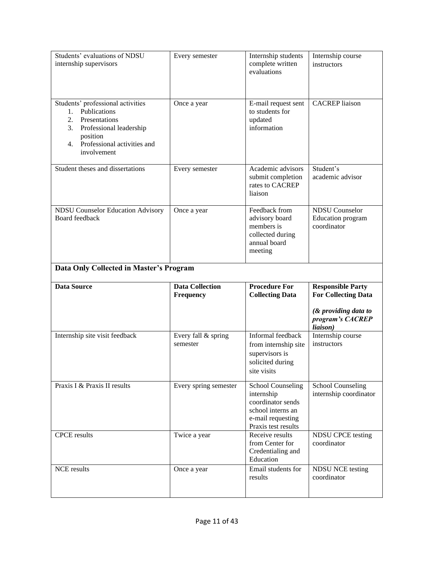| Students' evaluations of NDSU<br>internship supervisors                                                                                                                                  | Every semester                      | Internship students<br>complete written<br>evaluations                                                                       | Internship course<br>instructors                          |  |
|------------------------------------------------------------------------------------------------------------------------------------------------------------------------------------------|-------------------------------------|------------------------------------------------------------------------------------------------------------------------------|-----------------------------------------------------------|--|
| Students' professional activities<br>Publications<br>$1_{\cdot}$<br>2.<br>Presentations<br>3.<br>Professional leadership<br>position<br>Professional activities and<br>4.<br>involvement | Once a year                         | E-mail request sent<br>to students for<br>updated<br>information                                                             | <b>CACREP</b> liaison                                     |  |
| Student theses and dissertations                                                                                                                                                         | Every semester                      | Academic advisors<br>submit completion<br>rates to CACREP<br>liaison                                                         | Student's<br>academic advisor                             |  |
| <b>NDSU Counselor Education Advisory</b><br>Board feedback                                                                                                                               | Once a year                         | Feedback from<br>advisory board<br>members is<br>collected during<br>annual board<br>meeting                                 | <b>NDSU</b> Counselor<br>Education program<br>coordinator |  |
| Data Only Collected in Master's Program                                                                                                                                                  |                                     |                                                                                                                              |                                                           |  |
|                                                                                                                                                                                          |                                     |                                                                                                                              |                                                           |  |
| <b>Data Source</b>                                                                                                                                                                       | <b>Data Collection</b><br>Frequency | <b>Procedure For</b><br><b>Collecting Data</b>                                                                               | <b>Responsible Party</b><br><b>For Collecting Data</b>    |  |
|                                                                                                                                                                                          |                                     |                                                                                                                              | $&$ providing data to<br>program's CACREP<br>liaison)     |  |
| Internship site visit feedback                                                                                                                                                           | Every fall & spring<br>semester     | Informal feedback<br>from internship site<br>supervisors is<br>solicited during<br>site visits                               | Internship course<br>instructors                          |  |
| Praxis I & Praxis II results                                                                                                                                                             | Every spring semester               | <b>School Counseling</b><br>internship<br>coordinator sends<br>school interns an<br>e-mail requesting<br>Praxis test results | <b>School Counseling</b><br>internship coordinator        |  |
| <b>CPCE</b> results                                                                                                                                                                      | Twice a year                        | Receive results<br>from Center for<br>Credentialing and<br>Education                                                         | <b>NDSU CPCE testing</b><br>coordinator                   |  |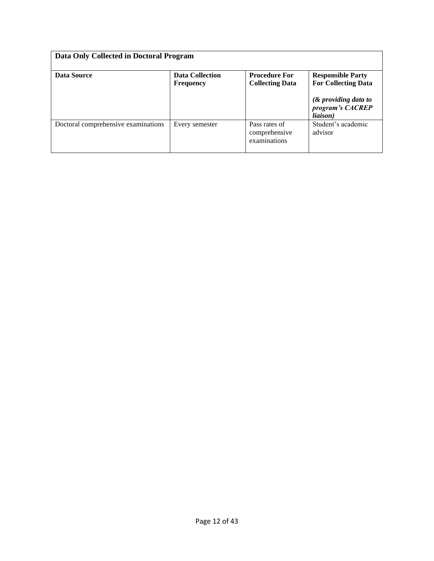| Data Only Collected in Doctoral Program |                                            |                                                |                                                               |  |
|-----------------------------------------|--------------------------------------------|------------------------------------------------|---------------------------------------------------------------|--|
| Data Source                             | <b>Data Collection</b><br><b>Frequency</b> | <b>Procedure For</b><br><b>Collecting Data</b> | <b>Responsible Party</b><br><b>For Collecting Data</b>        |  |
|                                         |                                            |                                                | $&$ providing data to<br>program's CACREP<br><i>liaison</i> ) |  |
| Doctoral comprehensive examinations     | Every semester                             | Pass rates of<br>comprehensive<br>examinations | Student's academic<br>advisor                                 |  |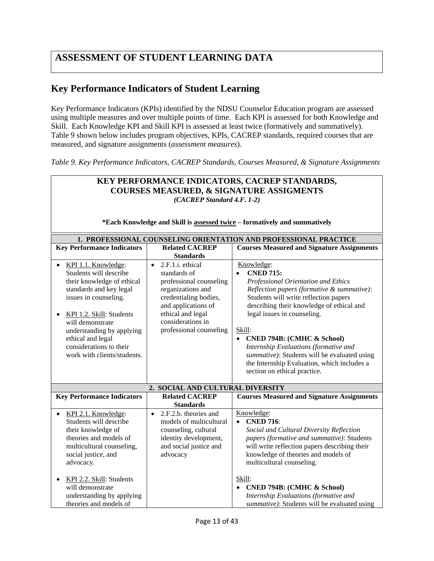# <span id="page-12-0"></span>**ASSESSMENT OF STUDENT LEARNING DATA**

## **Key Performance Indicators of Student Learning**

Key Performance Indicators (KPIs) identified by the NDSU Counselor Education program are assessed using multiple measures and over multiple points of time. Each KPI is assessed for both Knowledge and Skill. Each Knowledge KPI and Skill KPI is assessed at least twice (formatively and summatively). Table 9 shown below includes program objectives, KPIs, CACREP standards, required courses that are measured, and signature assignments (*assessment measures*).

*Table 9. Key Performance Indicators, CACREP Standards, Courses Measured, & Signature Assignments*

| KEY PERFORMANCE INDICATORS, CACREP STANDARDS,                                                                   |                                                                  |                                                                                       |  |  |
|-----------------------------------------------------------------------------------------------------------------|------------------------------------------------------------------|---------------------------------------------------------------------------------------|--|--|
| <b>COURSES MEASURED, &amp; SIGNATURE ASSIGMENTS</b>                                                             |                                                                  |                                                                                       |  |  |
| (CACREP Standard 4.F. 1-2)                                                                                      |                                                                  |                                                                                       |  |  |
|                                                                                                                 |                                                                  |                                                                                       |  |  |
|                                                                                                                 |                                                                  |                                                                                       |  |  |
|                                                                                                                 |                                                                  | *Each Knowledge and Skill is assessed twice - formatively and summatively             |  |  |
|                                                                                                                 | 1. PROFESSIONAL COUNSELING ORIENTATION AND PROFESSIONAL PRACTICE |                                                                                       |  |  |
| <b>Key Performance Indicators</b><br><b>Related CACREP</b><br><b>Courses Measured and Signature Assignments</b> |                                                                  |                                                                                       |  |  |
|                                                                                                                 | <b>Standards</b>                                                 |                                                                                       |  |  |
| KPI 1.1. Knowledge:<br>$\bullet$                                                                                | 2.F.1.i. ethical<br>$\bullet$                                    | Knowledge:                                                                            |  |  |
| Students will describe                                                                                          | standards of                                                     | <b>CNED 715:</b><br>$\bullet$                                                         |  |  |
| their knowledge of ethical                                                                                      | professional counseling                                          | Professional Orientation and Ethics                                                   |  |  |
| standards and key legal                                                                                         | organizations and                                                | Reflection papers (formative & summative):                                            |  |  |
| issues in counseling.                                                                                           | credentialing bodies,                                            | Students will write reflection papers                                                 |  |  |
|                                                                                                                 | and applications of                                              | describing their knowledge of ethical and                                             |  |  |
| KPI 1.2. Skill: Students                                                                                        | ethical and legal                                                | legal issues in counseling.                                                           |  |  |
| will demonstrate                                                                                                | considerations in                                                | Skill:                                                                                |  |  |
| understanding by applying                                                                                       | professional counseling                                          |                                                                                       |  |  |
| ethical and legal<br>considerations to their                                                                    |                                                                  | <b>CNED 794B: (CMHC &amp; School)</b><br>$\bullet$                                    |  |  |
| work with clients/students.                                                                                     |                                                                  | Internship Evaluations (formative and<br>summative): Students will be evaluated using |  |  |
|                                                                                                                 |                                                                  | the Internship Evaluation, which includes a                                           |  |  |
|                                                                                                                 |                                                                  | section on ethical practice.                                                          |  |  |
|                                                                                                                 |                                                                  |                                                                                       |  |  |
|                                                                                                                 | 2. SOCIAL AND CULTURAL DIVERSITY                                 |                                                                                       |  |  |
| <b>Key Performance Indicators</b>                                                                               | <b>Related CACREP</b>                                            | <b>Courses Measured and Signature Assignments</b>                                     |  |  |
|                                                                                                                 | <b>Standards</b>                                                 |                                                                                       |  |  |
| KPI 2.1. Knowledge:<br>$\bullet$                                                                                | 2.F.2.b. theories and<br>$\bullet$                               | Knowledge:                                                                            |  |  |
| Students will describe                                                                                          | models of multicultural                                          | <b>CNED 716:</b><br>$\bullet$                                                         |  |  |
| their knowledge of                                                                                              | counseling, cultural                                             | Social and Cultural Diversity Reflection                                              |  |  |
| theories and models of                                                                                          | identity development,                                            | papers (formative and summative): Students                                            |  |  |
| multicultural counseling,                                                                                       | and social justice and                                           | will write reflection papers describing their                                         |  |  |
| social justice, and                                                                                             | advocacy                                                         | knowledge of theories and models of                                                   |  |  |
| advocacy.                                                                                                       |                                                                  | multicultural counseling.                                                             |  |  |
| KPI 2.2. Skill: Students<br>$\bullet$                                                                           |                                                                  | Skill:                                                                                |  |  |
| will demonstrate                                                                                                |                                                                  | <b>CNED 794B: (CMHC &amp; School)</b>                                                 |  |  |
| understanding by applying                                                                                       |                                                                  | Internship Evaluations (formative and                                                 |  |  |
| theories and models of                                                                                          |                                                                  | summative): Students will be evaluated using                                          |  |  |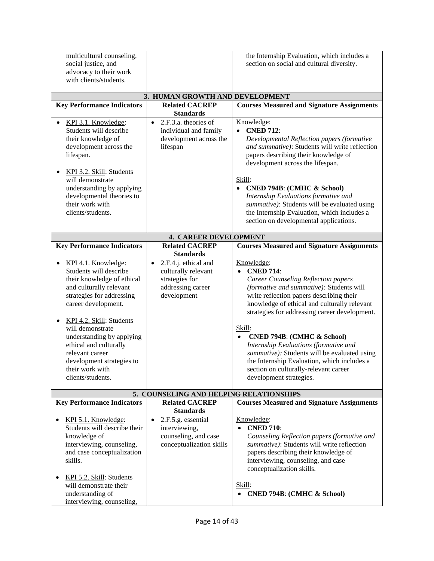| multicultural counseling,<br>social justice, and<br>advocacy to their work<br>with clients/students.                                                                                                                                                                                                                                                                                |                                                                                                                | the Internship Evaluation, which includes a<br>section on social and cultural diversity.                                                                                                                                                                                                                                                                                                                                                                                                                                                          |
|-------------------------------------------------------------------------------------------------------------------------------------------------------------------------------------------------------------------------------------------------------------------------------------------------------------------------------------------------------------------------------------|----------------------------------------------------------------------------------------------------------------|---------------------------------------------------------------------------------------------------------------------------------------------------------------------------------------------------------------------------------------------------------------------------------------------------------------------------------------------------------------------------------------------------------------------------------------------------------------------------------------------------------------------------------------------------|
|                                                                                                                                                                                                                                                                                                                                                                                     | 3. HUMAN GROWTH AND DEVELOPMENT                                                                                |                                                                                                                                                                                                                                                                                                                                                                                                                                                                                                                                                   |
| <b>Key Performance Indicators</b>                                                                                                                                                                                                                                                                                                                                                   | <b>Related CACREP</b><br><b>Standards</b>                                                                      | <b>Courses Measured and Signature Assignments</b>                                                                                                                                                                                                                                                                                                                                                                                                                                                                                                 |
| KPI 3.1. Knowledge:<br>Students will describe<br>their knowledge of<br>development across the<br>lifespan.<br>KPI 3.2. Skill: Students<br>$\bullet$<br>will demonstrate<br>understanding by applying<br>developmental theories to<br>their work with<br>clients/students.                                                                                                           | 2.F.3.a. theories of<br>$\bullet$<br>individual and family<br>development across the<br>lifespan               | Knowledge:<br><b>CNED 712:</b><br>Developmental Reflection papers (formative<br>and summative): Students will write reflection<br>papers describing their knowledge of<br>development across the lifespan.<br>Skill:<br><b>CNED 794B: (CMHC &amp; School)</b><br>$\bullet$<br>Internship Evaluations formative and<br>summative): Students will be evaluated using<br>the Internship Evaluation, which includes a                                                                                                                                 |
|                                                                                                                                                                                                                                                                                                                                                                                     |                                                                                                                | section on developmental applications.                                                                                                                                                                                                                                                                                                                                                                                                                                                                                                            |
|                                                                                                                                                                                                                                                                                                                                                                                     | <b>4. CAREER DEVELOPMENT</b>                                                                                   |                                                                                                                                                                                                                                                                                                                                                                                                                                                                                                                                                   |
| <b>Key Performance Indicators</b>                                                                                                                                                                                                                                                                                                                                                   | <b>Related CACREP</b><br><b>Standards</b>                                                                      | <b>Courses Measured and Signature Assignments</b>                                                                                                                                                                                                                                                                                                                                                                                                                                                                                                 |
| KPI 4.1. Knowledge:<br>$\bullet$<br>Students will describe<br>their knowledge of ethical<br>and culturally relevant<br>strategies for addressing<br>career development.<br>KPI 4.2. Skill: Students<br>$\bullet$<br>will demonstrate<br>understanding by applying<br>ethical and culturally<br>relevant career<br>development strategies to<br>their work with<br>clients/students. | 2.F.4.j. ethical and<br>$\bullet$<br>culturally relevant<br>strategies for<br>addressing career<br>development | Knowledge:<br><b>CNED 714:</b><br><b>Career Counseling Reflection papers</b><br>(formative and summative): Students will<br>write reflection papers describing their<br>knowledge of ethical and culturally relevant<br>strategies for addressing career development.<br>Skill:<br><b>CNED 794B: (CMHC &amp; School)</b><br>$\bullet$<br>Internship Evaluations (formative and<br>summative): Students will be evaluated using<br>the Internship Evaluation, which includes a<br>section on culturally-relevant career<br>development strategies. |
|                                                                                                                                                                                                                                                                                                                                                                                     | 5. COUNSELING AND HELPING RELATIONSHIPS                                                                        |                                                                                                                                                                                                                                                                                                                                                                                                                                                                                                                                                   |
| <b>Key Performance Indicators</b>                                                                                                                                                                                                                                                                                                                                                   | <b>Related CACREP</b><br><b>Standards</b>                                                                      | <b>Courses Measured and Signature Assignments</b>                                                                                                                                                                                                                                                                                                                                                                                                                                                                                                 |
| KPI 5.1. Knowledge:<br>$\bullet$<br>Students will describe their<br>knowledge of<br>interviewing, counseling,<br>and case conceptualization<br>skills.<br>KPI 5.2. Skill: Students<br>$\bullet$<br>will demonstrate their<br>understanding of<br>interviewing, counseling,                                                                                                          | 2.F.5.g. essential<br>$\bullet$<br>interviewing,<br>counseling, and case<br>conceptualization skills           | Knowledge:<br><b>CNED 710:</b><br>Counseling Reflection papers (formative and<br>summative): Students will write reflection<br>papers describing their knowledge of<br>interviewing, counseling, and case<br>conceptualization skills.<br>Skill:<br>• CNED 794B: (CMHC & School)                                                                                                                                                                                                                                                                  |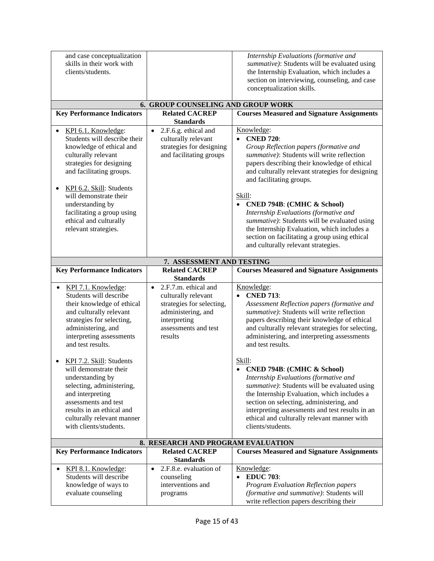| and case conceptualization<br>skills in their work with                                                                                         |                                                                                                                 | Internship Evaluations (formative and<br>summative): Students will be evaluated using                                                                                               |  |
|-------------------------------------------------------------------------------------------------------------------------------------------------|-----------------------------------------------------------------------------------------------------------------|-------------------------------------------------------------------------------------------------------------------------------------------------------------------------------------|--|
| clients/students.                                                                                                                               |                                                                                                                 | the Internship Evaluation, which includes a                                                                                                                                         |  |
|                                                                                                                                                 |                                                                                                                 | section on interviewing, counseling, and case<br>conceptualization skills.                                                                                                          |  |
|                                                                                                                                                 | <b>6. GROUP COUNSELING AND GROUP WORK</b>                                                                       |                                                                                                                                                                                     |  |
| <b>Key Performance Indicators</b>                                                                                                               | <b>Related CACREP</b>                                                                                           | <b>Courses Measured and Signature Assignments</b>                                                                                                                                   |  |
|                                                                                                                                                 | <b>Standards</b>                                                                                                |                                                                                                                                                                                     |  |
| KPI 6.1. Knowledge:<br>$\bullet$<br>Students will describe their<br>knowledge of ethical and<br>culturally relevant<br>strategies for designing | 2.F.6.g. ethical and<br>$\bullet$<br>culturally relevant<br>strategies for designing<br>and facilitating groups | Knowledge:<br><b>CNED 720:</b><br>$\bullet$<br>Group Reflection papers (formative and<br>summative): Students will write reflection<br>papers describing their knowledge of ethical |  |
| and facilitating groups.                                                                                                                        |                                                                                                                 | and culturally relevant strategies for designing<br>and facilitating groups.                                                                                                        |  |
| KPI 6.2. Skill: Students<br>$\bullet$<br>will demonstrate their                                                                                 |                                                                                                                 | Skill:                                                                                                                                                                              |  |
| understanding by                                                                                                                                |                                                                                                                 | • CNED 794B: (CMHC & School)                                                                                                                                                        |  |
| facilitating a group using<br>ethical and culturally<br>relevant strategies.                                                                    |                                                                                                                 | Internship Evaluations (formative and<br>summative): Students will be evaluated using<br>the Internship Evaluation, which includes a                                                |  |
|                                                                                                                                                 |                                                                                                                 | section on facilitating a group using ethical<br>and culturally relevant strategies.                                                                                                |  |
| 7. ASSESSMENT AND TESTING                                                                                                                       |                                                                                                                 |                                                                                                                                                                                     |  |
| <b>Key Performance Indicators</b>                                                                                                               | <b>Related CACREP</b><br><b>Standards</b>                                                                       | <b>Courses Measured and Signature Assignments</b>                                                                                                                                   |  |
| KPI 7.1. Knowledge:                                                                                                                             | 2.F.7.m. ethical and<br>$\bullet$                                                                               | Knowledge:                                                                                                                                                                          |  |
| Students will describe                                                                                                                          | culturally relevant                                                                                             | • CNED 713:                                                                                                                                                                         |  |
| their knowledge of ethical                                                                                                                      | strategies for selecting,                                                                                       | Assessment Reflection papers (formative and                                                                                                                                         |  |
| and culturally relevant                                                                                                                         | administering, and                                                                                              | summative): Students will write reflection                                                                                                                                          |  |
| strategies for selecting,                                                                                                                       | interpreting                                                                                                    | papers describing their knowledge of ethical                                                                                                                                        |  |
| administering, and                                                                                                                              | assessments and test                                                                                            | and culturally relevant strategies for selecting,                                                                                                                                   |  |
| interpreting assessments<br>and test results.                                                                                                   | results                                                                                                         | administering, and interpreting assessments<br>and test results.                                                                                                                    |  |
| KPI 7.2. Skill: Students                                                                                                                        |                                                                                                                 | Skill:                                                                                                                                                                              |  |
| will demonstrate their                                                                                                                          |                                                                                                                 | <b>CNED 794B: (CMHC &amp; School)</b>                                                                                                                                               |  |
| understanding by                                                                                                                                |                                                                                                                 | Internship Evaluations (formative and                                                                                                                                               |  |
| selecting, administering,                                                                                                                       |                                                                                                                 | summative): Students will be evaluated using                                                                                                                                        |  |
| and interpreting                                                                                                                                |                                                                                                                 | the Internship Evaluation, which includes a                                                                                                                                         |  |
| assessments and test                                                                                                                            |                                                                                                                 | section on selecting, administering, and                                                                                                                                            |  |
| results in an ethical and<br>culturally relevant manner                                                                                         |                                                                                                                 | interpreting assessments and test results in an<br>ethical and culturally relevant manner with                                                                                      |  |
| with clients/students.                                                                                                                          |                                                                                                                 | clients/students.                                                                                                                                                                   |  |
|                                                                                                                                                 |                                                                                                                 |                                                                                                                                                                                     |  |
|                                                                                                                                                 | 8. RESEARCH AND PROGRAM EVALUATION                                                                              |                                                                                                                                                                                     |  |
| <b>Key Performance Indicators</b>                                                                                                               | <b>Related CACREP</b><br><b>Standards</b>                                                                       | <b>Courses Measured and Signature Assignments</b>                                                                                                                                   |  |
| KPI 8.1. Knowledge:                                                                                                                             | 2.F.8.e. evaluation of<br>$\bullet$                                                                             | Knowledge:                                                                                                                                                                          |  |
| Students will describe                                                                                                                          | counseling                                                                                                      | <b>EDUC 703:</b><br>$\bullet$                                                                                                                                                       |  |
| knowledge of ways to                                                                                                                            | interventions and                                                                                               | Program Evaluation Reflection papers                                                                                                                                                |  |
| evaluate counseling                                                                                                                             | programs                                                                                                        | (formative and summative): Students will                                                                                                                                            |  |
|                                                                                                                                                 |                                                                                                                 | write reflection papers describing their                                                                                                                                            |  |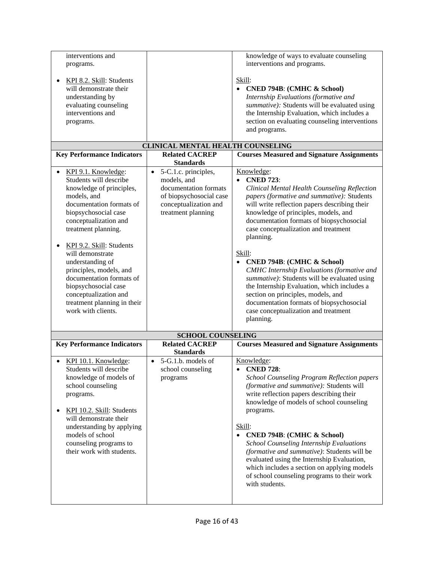| interventions and<br>programs.<br>KPI 8.2. Skill: Students<br>will demonstrate their<br>understanding by<br>evaluating counseling                                                                                                                                                                                                                                                                                             |                                                                                                                                          | knowledge of ways to evaluate counseling<br>interventions and programs.<br>Skill:<br>• CNED 794B: (CMHC & School)<br>Internship Evaluations (formative and<br>summative): Students will be evaluated using                                                                                                                                                                                                                                                                                                                                                                                                                                                                        |
|-------------------------------------------------------------------------------------------------------------------------------------------------------------------------------------------------------------------------------------------------------------------------------------------------------------------------------------------------------------------------------------------------------------------------------|------------------------------------------------------------------------------------------------------------------------------------------|-----------------------------------------------------------------------------------------------------------------------------------------------------------------------------------------------------------------------------------------------------------------------------------------------------------------------------------------------------------------------------------------------------------------------------------------------------------------------------------------------------------------------------------------------------------------------------------------------------------------------------------------------------------------------------------|
| interventions and<br>programs.                                                                                                                                                                                                                                                                                                                                                                                                |                                                                                                                                          | the Internship Evaluation, which includes a<br>section on evaluating counseling interventions<br>and programs.                                                                                                                                                                                                                                                                                                                                                                                                                                                                                                                                                                    |
|                                                                                                                                                                                                                                                                                                                                                                                                                               | CLINICAL MENTAL HEALTH COUNSELING                                                                                                        |                                                                                                                                                                                                                                                                                                                                                                                                                                                                                                                                                                                                                                                                                   |
| <b>Key Performance Indicators</b>                                                                                                                                                                                                                                                                                                                                                                                             | <b>Related CACREP</b><br><b>Standards</b>                                                                                                | <b>Courses Measured and Signature Assignments</b>                                                                                                                                                                                                                                                                                                                                                                                                                                                                                                                                                                                                                                 |
| KPI 9.1. Knowledge:<br>Students will describe<br>knowledge of principles,<br>models, and<br>documentation formats of<br>biopsychosocial case<br>conceptualization and<br>treatment planning.<br>KPI 9.2. Skill: Students<br>will demonstrate<br>understanding of<br>principles, models, and<br>documentation formats of<br>biopsychosocial case<br>conceptualization and<br>treatment planning in their<br>work with clients. | • 5-C.1.c. principles,<br>models, and<br>documentation formats<br>of biopsychosocial case<br>conceptualization and<br>treatment planning | Knowledge:<br><b>CNED 723:</b><br>$\bullet$<br>Clinical Mental Health Counseling Reflection<br>papers (formative and summative): Students<br>will write reflection papers describing their<br>knowledge of principles, models, and<br>documentation formats of biopsychosocial<br>case conceptualization and treatment<br>planning.<br>Skill:<br><b>CNED 794B: (CMHC &amp; School)</b><br><b>CMHC</b> Internship Evaluations (formative and<br>summative): Students will be evaluated using<br>the Internship Evaluation, which includes a<br>section on principles, models, and<br>documentation formats of biopsychosocial<br>case conceptualization and treatment<br>planning. |
|                                                                                                                                                                                                                                                                                                                                                                                                                               | <b>SCHOOL COUNSELING</b>                                                                                                                 |                                                                                                                                                                                                                                                                                                                                                                                                                                                                                                                                                                                                                                                                                   |
| <b>Key Performance Indicators</b>                                                                                                                                                                                                                                                                                                                                                                                             | <b>Related CACREP</b><br><b>Standards</b>                                                                                                | <b>Courses Measured and Signature Assignments</b>                                                                                                                                                                                                                                                                                                                                                                                                                                                                                                                                                                                                                                 |
| KPI 10.1. Knowledge:<br>Students will describe<br>knowledge of models of<br>school counseling<br>programs.<br>KPI 10.2. Skill: Students<br>will demonstrate their<br>understanding by applying<br>models of school<br>counseling programs to                                                                                                                                                                                  | $\bullet$ 5-G.1.b. models of<br>school counseling<br>programs                                                                            | Knowledge:<br><b>CNED 728:</b><br><b>School Counseling Program Reflection papers</b><br>(formative and summative): Students will<br>write reflection papers describing their<br>knowledge of models of school counseling<br>programs.<br>Skill:<br>• CNED 794B: (CMHC & School)<br><b>School Counseling Internship Evaluations</b>                                                                                                                                                                                                                                                                                                                                                |
| their work with students.                                                                                                                                                                                                                                                                                                                                                                                                     |                                                                                                                                          | (formative and summative): Students will be<br>evaluated using the Internship Evaluation,<br>which includes a section on applying models<br>of school counseling programs to their work<br>with students.                                                                                                                                                                                                                                                                                                                                                                                                                                                                         |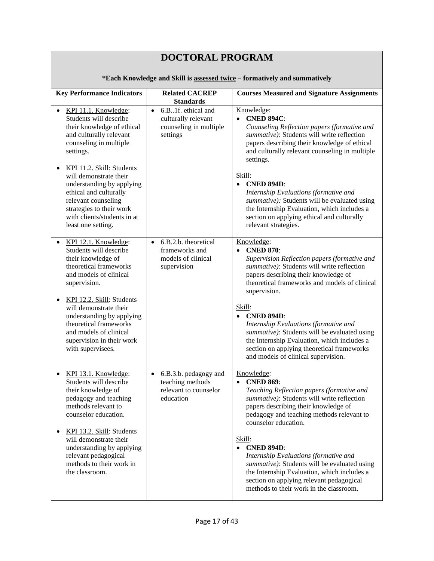| <b>DOCTORAL PROGRAM</b>                                                                                                                                                                                                         |                                                                                              |                                                                                                                                                                                                                                                            |  |
|---------------------------------------------------------------------------------------------------------------------------------------------------------------------------------------------------------------------------------|----------------------------------------------------------------------------------------------|------------------------------------------------------------------------------------------------------------------------------------------------------------------------------------------------------------------------------------------------------------|--|
| *Each Knowledge and Skill is assessed twice - formatively and summatively                                                                                                                                                       |                                                                                              |                                                                                                                                                                                                                                                            |  |
| <b>Key Performance Indicators</b>                                                                                                                                                                                               | <b>Related CACREP</b><br><b>Standards</b>                                                    | <b>Courses Measured and Signature Assignments</b>                                                                                                                                                                                                          |  |
| KPI 11.1. Knowledge:<br>Students will describe<br>their knowledge of ethical<br>and culturally relevant<br>counseling in multiple<br>settings.                                                                                  | 6.B1f. ethical and<br>$\bullet$<br>culturally relevant<br>counseling in multiple<br>settings | Knowledge:<br><b>CNED 894C:</b><br>$\bullet$<br>Counseling Reflection papers (formative and<br>summative): Students will write reflection<br>papers describing their knowledge of ethical<br>and culturally relevant counseling in multiple<br>settings.   |  |
| KPI 11.2. Skill: Students<br>$\bullet$<br>will demonstrate their<br>understanding by applying<br>ethical and culturally<br>relevant counseling<br>strategies to their work<br>with clients/students in at<br>least one setting. |                                                                                              | Skill:<br>• CNED 894D:<br>Internship Evaluations (formative and<br>summative): Students will be evaluated using<br>the Internship Evaluation, which includes a<br>section on applying ethical and culturally<br>relevant strategies.                       |  |
| KPI 12.1. Knowledge:<br>Students will describe<br>their knowledge of<br>theoretical frameworks<br>and models of clinical<br>supervision.<br>KPI 12.2. Skill: Students<br>$\bullet$<br>will demonstrate their                    | 6.B.2.b. theoretical<br>$\bullet$<br>frameworks and<br>models of clinical<br>supervision     | Knowledge:<br>• CNED 870:<br>Supervision Reflection papers (formative and<br>summative): Students will write reflection<br>papers describing their knowledge of<br>theoretical frameworks and models of clinical<br>supervision.<br>Skill:                 |  |
| understanding by applying<br>theoretical frameworks<br>and models of clinical<br>supervision in their work<br>with supervisees.                                                                                                 |                                                                                              | • CNED 894D:<br>Internship Evaluations (formative and<br>summative): Students will be evaluated using<br>the Internship Evaluation, which includes a<br>section on applying theoretical frameworks<br>and models of clinical supervision.                  |  |
| KPI 13.1. Knowledge:<br>Students will describe<br>their knowledge of<br>pedagogy and teaching<br>methods relevant to<br>counselor education.                                                                                    | 6.B.3.b. pedagogy and<br>$\bullet$<br>teaching methods<br>relevant to counselor<br>education | Knowledge:<br><b>CNED 869:</b><br>Teaching Reflection papers (formative and<br>summative): Students will write reflection<br>papers describing their knowledge of<br>pedagogy and teaching methods relevant to<br>counselor education.                     |  |
| KPI 13.2. Skill: Students<br>$\bullet$<br>will demonstrate their<br>understanding by applying<br>relevant pedagogical<br>methods to their work in<br>the classroom.                                                             |                                                                                              | Skill:<br><b>CNED 894D:</b><br>Internship Evaluations (formative and<br>summative): Students will be evaluated using<br>the Internship Evaluation, which includes a<br>section on applying relevant pedagogical<br>methods to their work in the classroom. |  |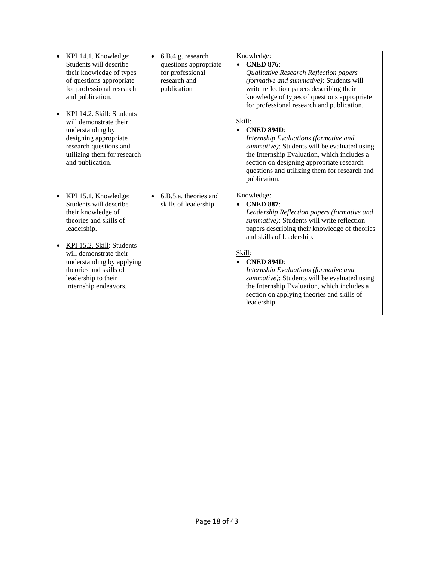| KPI 14.1. Knowledge:<br>Students will describe<br>their knowledge of types<br>of questions appropriate<br>for professional research<br>and publication.<br>KPI 14.2. Skill: Students<br>will demonstrate their<br>understanding by<br>designing appropriate<br>research questions and<br>utilizing them for research<br>and publication. | 6.B.4.g. research<br>$\bullet$<br>questions appropriate<br>for professional<br>research and<br>publication | Knowledge:<br>• CNED 876:<br>Qualitative Research Reflection papers<br>(formative and summative): Students will<br>write reflection papers describing their<br>knowledge of types of questions appropriate<br>for professional research and publication.<br>Skill:<br>$\bullet$ CNED 894D:<br>Internship Evaluations (formative and<br>summative): Students will be evaluated using<br>the Internship Evaluation, which includes a<br>section on designing appropriate research<br>questions and utilizing them for research and<br>publication. |
|------------------------------------------------------------------------------------------------------------------------------------------------------------------------------------------------------------------------------------------------------------------------------------------------------------------------------------------|------------------------------------------------------------------------------------------------------------|--------------------------------------------------------------------------------------------------------------------------------------------------------------------------------------------------------------------------------------------------------------------------------------------------------------------------------------------------------------------------------------------------------------------------------------------------------------------------------------------------------------------------------------------------|
| KPI 15.1. Knowledge:<br>$\bullet$<br>Students will describe<br>their knowledge of<br>theories and skills of<br>leadership.<br>KPI 15.2. Skill: Students<br>will demonstrate their<br>understanding by applying<br>theories and skills of<br>leadership to their<br>internship endeavors.                                                 | 6.B.5.a. theories and<br>$\bullet$<br>skills of leadership                                                 | Knowledge:<br><b>CNED 887:</b><br>$\bullet$<br>Leadership Reflection papers (formative and<br>summative): Students will write reflection<br>papers describing their knowledge of theories<br>and skills of leadership.<br>Skill:<br>$\bullet$ CNED 894D:<br>Internship Evaluations (formative and<br>summative): Students will be evaluated using<br>the Internship Evaluation, which includes a<br>section on applying theories and skills of<br>leadership.                                                                                    |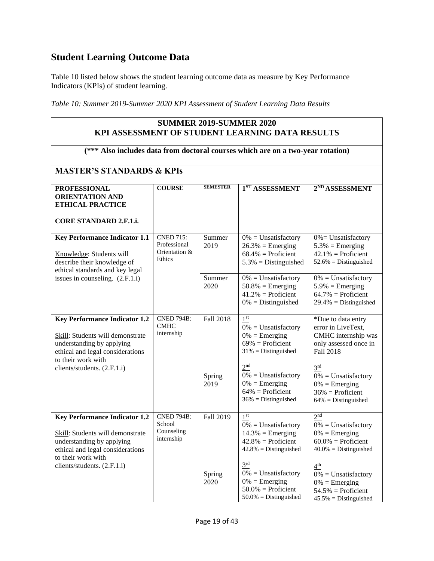# <span id="page-18-0"></span>**Student Learning Outcome Data**

Table 10 listed below shows the student learning outcome data as measure by Key Performance Indicators (KPIs) of student learning.

*Table 10: Summer 2019-Summer 2020 KPI Assessment of Student Learning Data Results*

| <b>SUMMER 2019-SUMMER 2020</b><br>KPI ASSESSMENT OF STUDENT LEARNING DATA RESULTS                                                                               |                                                             |                  |                                                                                                                           |                                                                                                                           |
|-----------------------------------------------------------------------------------------------------------------------------------------------------------------|-------------------------------------------------------------|------------------|---------------------------------------------------------------------------------------------------------------------------|---------------------------------------------------------------------------------------------------------------------------|
| (*** Also includes data from doctoral courses which are on a two-year rotation)                                                                                 |                                                             |                  |                                                                                                                           |                                                                                                                           |
| <b>MASTER'S STANDARDS &amp; KPIs</b>                                                                                                                            |                                                             |                  |                                                                                                                           |                                                                                                                           |
| <b>PROFESSIONAL</b><br><b>ORIENTATION AND</b><br><b>ETHICAL PRACTICE</b>                                                                                        | <b>COURSE</b>                                               | <b>SEMESTER</b>  | 1 <sup>ST</sup> ASSESSMENT                                                                                                | 2 <sup>ND</sup> ASSESSMENT                                                                                                |
| <b>CORE STANDARD 2.F.1.i.</b>                                                                                                                                   |                                                             |                  |                                                                                                                           |                                                                                                                           |
| <b>Key Performance Indicator 1.1</b><br>Knowledge: Students will<br>describe their knowledge of<br>ethical standards and key legal                              | <b>CNED 715:</b><br>Professional<br>Orientation &<br>Ethics | Summer<br>2019   | $0\%$ = Unsatisfactory<br>$26.3\%$ = Emerging<br>$68.4\%$ = Proficient<br>$5.3\%$ = Distinguished                         | $0\%$ = Unsatisfactory<br>$5.3\%$ = Emerging<br>$42.1\%$ = Proficient<br>$52.6\%$ = Distinguished                         |
| issues in counseling. (2.F.1.i)                                                                                                                                 |                                                             | Summer<br>2020   | $0\% =$ Unsatisfactory<br>$58.8\%$ = Emerging<br>$41.2\%$ = Proficient<br>$0\%$ = Distinguished                           | $0\% =$ Unsatisfactory<br>$5.9\%$ = Emerging<br>$64.7\%$ = Proficient<br>$29.4\%$ = Distinguished                         |
| <b>Key Performance Indicator 1.2</b><br>Skill: Students will demonstrate<br>understanding by applying<br>ethical and legal considerations<br>to their work with | <b>CNED 794B:</b><br><b>CMHC</b><br>internship              | <b>Fall 2018</b> | 1 <sup>st</sup><br>$0\%$ = Unsatisfactory<br>$0\% = \text{Emerging}$<br>$69\%$ = Proficient<br>$31\%$ = Distinguished     | *Due to data entry<br>error in LiveText,<br>CMHC internship was<br>only assessed once in<br>Fall 2018                     |
| clients/students. (2.F.1.i)                                                                                                                                     |                                                             | Spring<br>2019   | 2 <sup>nd</sup><br>$0\%$ = Unsatisfactory<br>$0\% = \text{Emerging}$<br>$64\%$ = Proficient<br>$36\%$ = Distinguished     | 3 <sup>rd</sup><br>$0\%$ = Unsatisfactory<br>$0\% = \text{Emerging}$<br>$36\%$ = Proficient<br>$64\%$ = Distinguished     |
| <b>Key Performance Indicator 1.2</b><br>Skill: Students will demonstrate<br>understanding by applying<br>ethical and legal considerations<br>to their work with | <b>CNED 794B:</b><br>School<br>Counseling<br>internship     | Fall 2019        | 1 <sup>st</sup><br>$0\% =$ Unsatisfactory<br>$14.3\%$ = Emerging<br>$42.8\%$ = Proficient<br>$42.8\%$ = Distinguished     | 2 <sup>nd</sup><br>$0\%$ = Unsatisfactory<br>$0\% = \text{Emerging}$<br>$60.0\%$ = Proficient<br>$40.0\%$ = Distinguished |
| clients/students. (2.F.1.i)                                                                                                                                     |                                                             | Spring<br>2020   | 3 <sup>rd</sup><br>$0\% =$ Unsatisfactory<br>$0\% = \text{Emerging}$<br>$50.0\%$ = Proficient<br>$50.0\%$ = Distinguished | 4 <sup>th</sup><br>$0\% =$ Unsatisfactory<br>$0\% = \text{Emerging}$<br>$54.5\%$ = Proficient<br>$45.5\%$ = Distinguished |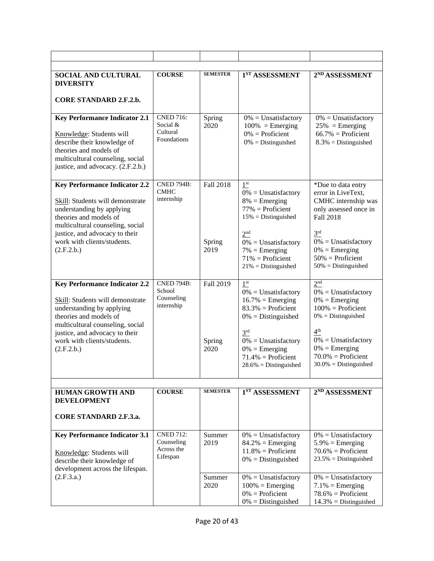| <b>SOCIAL AND CULTURAL</b><br><b>DIVERSITY</b>                                                                                                                                                     | <b>COURSE</b>                                             | <b>SEMESTER</b>  | 1 <sup>ST</sup> ASSESSMENT                                                                                                               | 2 <sup>ND</sup> ASSESSMENT                                                                                                          |
|----------------------------------------------------------------------------------------------------------------------------------------------------------------------------------------------------|-----------------------------------------------------------|------------------|------------------------------------------------------------------------------------------------------------------------------------------|-------------------------------------------------------------------------------------------------------------------------------------|
| <b>CORE STANDARD 2.F.2.b.</b>                                                                                                                                                                      |                                                           |                  |                                                                                                                                          |                                                                                                                                     |
| <b>Key Performance Indicator 2.1</b><br>Knowledge: Students will<br>describe their knowledge of<br>theories and models of<br>multicultural counseling, social<br>justice, and advocacy. (2.F.2.b.) | <b>CNED 716:</b><br>Social $&$<br>Cultural<br>Foundations | Spring<br>2020   | $0\% =$ Unsatisfactory<br>$100\%$ = Emerging<br>$0\%$ = Proficient<br>$0\%$ = Distinguished                                              | $0\% =$ Unsatisfactory<br>$25\%$ = Emerging<br>$66.7\%$ = Proficient<br>$8.3\%$ = Distinguished                                     |
| <b>Key Performance Indicator 2.2</b>                                                                                                                                                               | <b>CNED 794B:</b>                                         | <b>Fall 2018</b> | 1 <sup>st</sup>                                                                                                                          | *Due to data entry                                                                                                                  |
| Skill: Students will demonstrate<br>understanding by applying<br>theories and models of<br>multicultural counseling, social<br>justice, and advocacy to their<br>work with clients/students.       | <b>CMHC</b><br>internship                                 | Spring           | $0\%$ = Unsatisfactory<br>$8\%$ = Emerging<br>$77\%$ = Proficient<br>$15\%$ = Distinguished<br>2 <sup>nd</sup><br>$0\% =$ Unsatisfactory | error in LiveText,<br>CMHC internship was<br>only assessed once in<br><b>Fall 2018</b><br>3 <sup>rd</sup><br>$0\% =$ Unsatisfactory |
| (2.F.2.b.)                                                                                                                                                                                         |                                                           | 2019             | $7\% = \text{Emerging}$<br>$71\%$ = Proficient<br>$21\%$ = Distinguished                                                                 | $0\% =$ Emerging<br>$50\%$ = Proficient<br>$50\%$ = Distinguished                                                                   |
| <b>Key Performance Indicator 2.2</b><br>Skill: Students will demonstrate<br>understanding by applying<br>theories and models of<br>multicultural counseling, social                                | <b>CNED 794B:</b><br>School<br>Counseling<br>internship   | Fall 2019        | $1^\mathrm{st}$<br>$0\% =$ Unsatisfactory<br>$16.7\%$ = Emerging<br>$83.3\%$ = Proficient<br>$0\%$ = Distinguished                       | 2 <sup>nd</sup><br>$0\% =$ Unsatisfactory<br>$0\% =$ Emerging<br>$100\%$ = Proficient<br>$0\% = Distinguished$                      |
| justice, and advocacy to their<br>work with clients/students.<br>(2.F.2.b.)                                                                                                                        |                                                           | Spring<br>2020   | 3 <sup>rd</sup><br>$0\%$ = Unsatisfactory<br>$0\% = \text{Emerging}$<br>$71.4\%$ = Proficient<br>$28.6\%$ = Distinguished                | 4 <sup>th</sup><br>$0\% =$ Unsatisfactory<br>$0\% = \text{Emerging}$<br>$70.0\%$ = Proficient<br>$30.0\%$ = Distinguished           |
|                                                                                                                                                                                                    |                                                           | <b>SEMESTER</b>  |                                                                                                                                          |                                                                                                                                     |
| <b>HUMAN GROWTH AND</b><br><b>DEVELOPMENT</b><br><b>CORE STANDARD 2.F.3.a.</b>                                                                                                                     | <b>COURSE</b>                                             |                  | 1 <sup>ST</sup> ASSESSMENT                                                                                                               | 2 <sup>ND</sup> ASSESSMENT                                                                                                          |
|                                                                                                                                                                                                    |                                                           |                  |                                                                                                                                          |                                                                                                                                     |
| <b>Key Performance Indicator 3.1</b><br>Knowledge: Students will<br>describe their knowledge of<br>development across the lifespan.                                                                | <b>CNED 712:</b><br>Counseling<br>Across the<br>Lifespan  | Summer<br>2019   | $0\%$ = Unsatisfactory<br>$84.2\%$ = Emerging<br>$11.8\%$ = Proficient<br>$0\%$ = Distinguished                                          | $0\%$ = Unsatisfactory<br>$5.9\%$ = Emerging<br>$70.6\%$ = Proficient<br>$23.5\%$ = Distinguished                                   |
| (2.F.3.a.)                                                                                                                                                                                         |                                                           | Summer<br>2020   | $0\% =$ Unsatisfactory<br>$100\%$ = Emerging<br>$0\%$ = Proficient<br>$0\%$ = Distinguished                                              | $0\% =$ Unsatisfactory<br>$7.1\%$ = Emerging<br>$78.6\%$ = Proficient<br>$14.3\%$ = Distinguished                                   |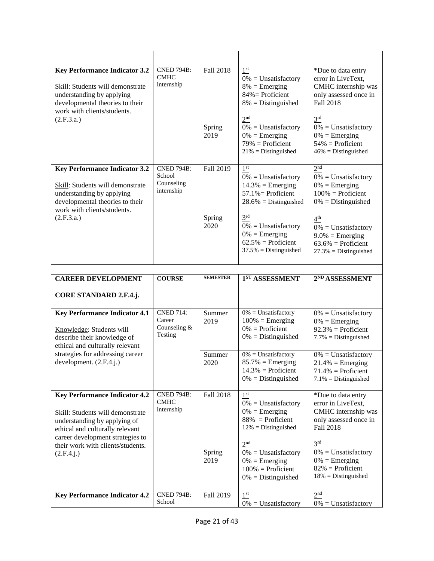| <b>Key Performance Indicator 3.2</b><br>Skill: Students will demonstrate<br>understanding by applying<br>developmental theories to their<br>work with clients/students.<br>(2.F.3.a.)                                              | <b>CNED 794B:</b><br><b>CMHC</b><br>internship          | Fall 2018<br>Spring<br>2019 | 1 <sup>st</sup><br>$0\%$ = Unsatisfactory<br>$8\%$ = Emerging<br>$84\%$ = Proficient<br>$8\%$ = Distinguished<br>2 <sup>nd</sup><br>$0\% =$ Unsatisfactory<br>$0\% = \text{Emerging}$<br>$79\%$ = Proficient<br>$21\%$ = Distinguished             | *Due to data entry<br>error in LiveText,<br>CMHC internship was<br>only assessed once in<br><b>Fall 2018</b><br>3 <sup>rd</sup><br>$0\%$ = Unsatisfactory<br>$0\% = \text{Emerging}$<br>$54\%$ = Proficient<br>$46\%$ = Distinguished                |
|------------------------------------------------------------------------------------------------------------------------------------------------------------------------------------------------------------------------------------|---------------------------------------------------------|-----------------------------|----------------------------------------------------------------------------------------------------------------------------------------------------------------------------------------------------------------------------------------------------|------------------------------------------------------------------------------------------------------------------------------------------------------------------------------------------------------------------------------------------------------|
| <b>Key Performance Indicator 3.2</b><br>Skill: Students will demonstrate<br>understanding by applying<br>developmental theories to their<br>work with clients/students.<br>(2.F.3.a.)                                              | <b>CNED 794B:</b><br>School<br>Counseling<br>internship | Fall 2019<br>Spring<br>2020 | $1^\mathrm{st}$<br>$0\% =$ Unsatisfactory<br>$14.3\%$ = Emerging<br>$57.1\%$ = Proficient<br>$28.6\%$ = Distinguished<br>3 <sup>rd</sup><br>$0\% =$ Unsatisfactory<br>$0\% = \text{Emerging}$<br>$62.5\%$ = Proficient<br>$37.5\%$ = Distinguished | 2 <sup>nd</sup><br>$0\%$ = Unsatisfactory<br>$0\% = \text{Emerging}$<br>$100\%$ = Proficient<br>$0\%$ = Distinguished<br>4 <sup>th</sup><br>$0\%$ = Unsatisfactory<br>$9.0\% = \text{Emerging}$<br>$63.6\%$ = Proficient<br>$27.3\%$ = Distinguished |
| <b>CAREER DEVELOPMENT</b>                                                                                                                                                                                                          | <b>COURSE</b>                                           | <b>SEMESTER</b>             | 1 <sup>ST</sup> ASSESSMENT                                                                                                                                                                                                                         | 2 <sup>ND</sup> ASSESSMENT                                                                                                                                                                                                                           |
| CORE STANDARD 2.F.4.j.                                                                                                                                                                                                             |                                                         |                             |                                                                                                                                                                                                                                                    |                                                                                                                                                                                                                                                      |
| <b>Key Performance Indicator 4.1</b><br>Knowledge: Students will<br>describe their knowledge of<br>ethical and culturally relevant                                                                                                 | <b>CNED 714:</b><br>Career<br>Counseling &<br>Testing   | Summer<br>2019              | $0\%$ = Unsatisfactory<br>$100\%$ = Emerging<br>$0\%$ = Proficient<br>$0\%$ = Distinguished                                                                                                                                                        | $0\%$ = Unsatisfactory<br>$0\% = \text{Emerging}$<br>$92.3\%$ = Proficient<br>$7.7\% = Distinguished$                                                                                                                                                |
| strategies for addressing career<br>development. (2.F.4.j.)                                                                                                                                                                        |                                                         | Summer<br>2020              | $0\% =$ Unsatisfactory<br>$85.7\% = \text{Emerging}$<br>$14.3\%$ = Proficient<br>$0\% = \text{Distinguished}$                                                                                                                                      | $0\% =$ Unsatisfactory<br>$21.4\%$ = Emerging<br>$71.4\%$ = Proficient<br>$7.1\% = Distinguished$                                                                                                                                                    |
| <b>Key Performance Indicator 4.2</b><br>Skill: Students will demonstrate<br>understanding by applying of<br>ethical and culturally relevant<br>career development strategies to<br>their work with clients/students.<br>(2.F.4.j.) | <b>CNED 794B:</b><br><b>CMHC</b><br>internship          | Fall 2018<br>Spring<br>2019 | 1 <sup>st</sup><br>$0\% =$ Unsatisfactory<br>$0\% =$ Emerging<br>$88\%$ = Proficient<br>$12\%$ = Distinguished<br>2 <sup>nd</sup><br>$0\% =$ Unsatisfactory<br>$0\% =$ Emerging<br>$100\%$ = Proficient<br>$0\% = \text{Distinguished}$            | *Due to data entry<br>error in LiveText,<br>CMHC internship was<br>only assessed once in<br><b>Fall 2018</b><br>3 <sup>rd</sup><br>$0\% =$ Unsatisfactory<br>$0\% = \text{Emerging}$<br>$82\%$ = Proficient<br>$18\%$ = Distinguished                |
| <b>Key Performance Indicator 4.2</b>                                                                                                                                                                                               | <b>CNED 794B:</b><br>School                             | Fall 2019                   | 1 <sup>st</sup><br>$0\% =$ Unsatisfactory                                                                                                                                                                                                          | 2 <sup>nd</sup><br>$0\% =$ Unsatisfactory                                                                                                                                                                                                            |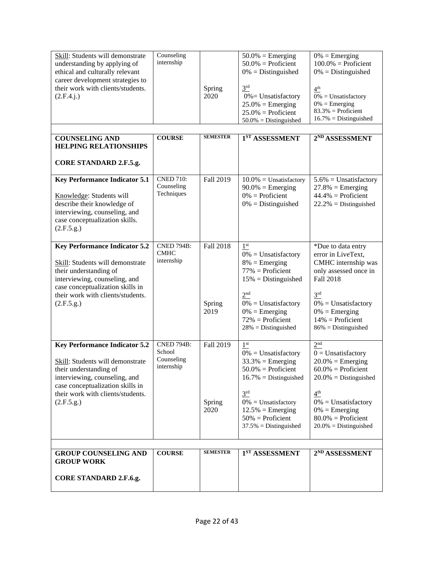| Skill: Students will demonstrate<br>understanding by applying of<br>ethical and culturally relevant<br>career development strategies to<br>their work with clients/students.<br>(2.F.4.i.) | Counseling<br>internship         | Spring<br>2020   | $50.0\%$ = Emerging<br>$50.0\%$ = Proficient<br>$0\%$ = Distinguished<br>3 <sup>rd</sup><br>$0\%$ = Unsatisfactory<br>$25.0\%$ = Emerging<br>$25.0\%$ = Proficient<br>$50.0\%$ = Distinguished | $0\%$ = Emerging<br>$100.0\%$ = Proficient<br>$0\% = \text{Distinguished}$<br>4 <sup>th</sup><br>$0\%$ = Unsatisfactory<br>$0\% = \text{Emerging}$<br>$83.3\%$ = Proficient<br>$16.7\%$ = Distinguished |
|--------------------------------------------------------------------------------------------------------------------------------------------------------------------------------------------|----------------------------------|------------------|------------------------------------------------------------------------------------------------------------------------------------------------------------------------------------------------|---------------------------------------------------------------------------------------------------------------------------------------------------------------------------------------------------------|
| <b>COUNSELING AND</b><br><b>HELPING RELATIONSHIPS</b>                                                                                                                                      | <b>COURSE</b>                    | <b>SEMESTER</b>  | $1ST$ ASSESSMENT                                                                                                                                                                               | 2 <sup>ND</sup> ASSESSMENT                                                                                                                                                                              |
| <b>CORE STANDARD 2.F.5.g.</b>                                                                                                                                                              |                                  |                  |                                                                                                                                                                                                |                                                                                                                                                                                                         |
| <b>Key Performance Indicator 5.1</b>                                                                                                                                                       | <b>CNED 710:</b><br>Counseling   | Fall 2019        | $10.0\%$ = Unsatisfactory<br>$90.0\%$ = Emerging                                                                                                                                               | $5.6\%$ = Unsatisfactory<br>$27.8\%$ = Emerging                                                                                                                                                         |
| Knowledge: Students will<br>describe their knowledge of<br>interviewing, counseling, and<br>case conceptualization skills.<br>(2.F.5.g.)                                                   | Techniques                       |                  | $0\%$ = Proficient<br>$0\%$ = Distinguished                                                                                                                                                    | $44.4\%$ = Proficient<br>$22.2\% = \text{Distinguished}$                                                                                                                                                |
| <b>Key Performance Indicator 5.2</b>                                                                                                                                                       | <b>CNED 794B:</b><br><b>CMHC</b> | <b>Fall 2018</b> | 1 <sup>st</sup><br>$0\%$ = Unsatisfactory                                                                                                                                                      | *Due to data entry<br>error in LiveText,                                                                                                                                                                |
| Skill: Students will demonstrate<br>their understanding of<br>interviewing, counseling, and<br>case conceptualization skills in                                                            | internship                       |                  | $8\%$ = Emerging<br>$77\%$ = Proficient<br>$15\%$ = Distinguished                                                                                                                              | CMHC internship was<br>only assessed once in<br>Fall 2018                                                                                                                                               |
| their work with clients/students.<br>(2.F.5.g.)                                                                                                                                            |                                  | Spring<br>2019   | 2 <sup>nd</sup><br>$0\% =$ Unsatisfactory<br>$0\% = \text{Emerging}$<br>$72\%$ = Proficient<br>$28\%$ = Distinguished                                                                          | 3 <sup>rd</sup><br>$0\%$ = Unsatisfactory<br>$0\% = \text{Emerging}$<br>$14\%$ = Proficient<br>$86\%$ = Distinguished                                                                                   |
| <b>Key Performance Indicator 5.2</b>                                                                                                                                                       | <b>CNED 794B:</b><br>School      | Fall 2019        | $1^\mathrm{st}$<br>$0\%$ = Unsatisfactory                                                                                                                                                      | 2 <sup>nd</sup><br>$0 =$ Unsatisfactory                                                                                                                                                                 |
| Skill: Students will demonstrate<br>their understanding of<br>interviewing, counseling, and<br>case conceptualization skills in                                                            | Counseling<br>internship         |                  | $33.3\%$ = Emerging<br>$50.0\%$ = Proficient<br>$16.7\% = \text{Distinguished}$                                                                                                                | $20.0\%$ = Emerging<br>$60.0\%$ = Proficient<br>$20.0\%$ = Distinguished                                                                                                                                |
| their work with clients/students.<br>(2.F.5.g.)                                                                                                                                            |                                  | Spring<br>2020   | 3 <sup>rd</sup><br>$0\% =$ Unsatisfactory<br>$12.5\%$ = Emerging<br>$50\%$ = Proficient<br>$37.5\%$ = Distinguished                                                                            | 4 <sup>th</sup><br>$0\%$ = Unsatisfactory<br>$0\% = \text{Emerging}$<br>$80.0\%$ = Proficient<br>$20.0\%$ = Distinguished                                                                               |
| <b>GROUP COUNSELING AND</b>                                                                                                                                                                | <b>COURSE</b>                    | <b>SEMESTER</b>  | 1 <sup>ST</sup> ASSESSMENT                                                                                                                                                                     | 2 <sup>ND</sup> ASSESSMENT                                                                                                                                                                              |
| <b>GROUP WORK</b>                                                                                                                                                                          |                                  |                  |                                                                                                                                                                                                |                                                                                                                                                                                                         |
| <b>CORE STANDARD 2.F.6.g.</b>                                                                                                                                                              |                                  |                  |                                                                                                                                                                                                |                                                                                                                                                                                                         |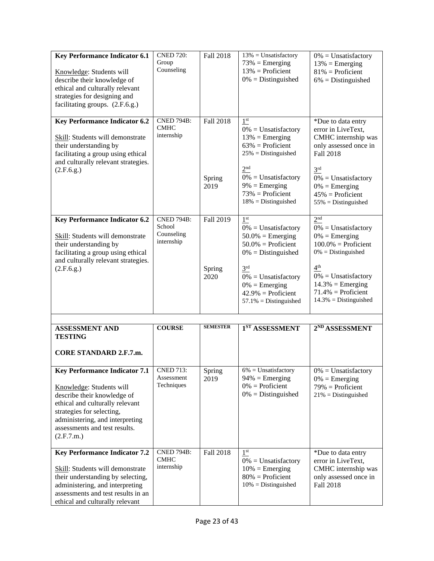| <b>Key Performance Indicator 6.1</b><br>Knowledge: Students will<br>describe their knowledge of<br>ethical and culturally relevant<br>strategies for designing and<br>facilitating groups. (2.F.6.g.)                                             | <b>CNED 720:</b><br>Group<br>Counseling                 | Fall 2018                   | $13\%$ = Unsatisfactory<br>$73\% =$ Emerging<br>$13\%$ = Proficient<br>$0\%$ = Distinguished                                                                                                                                                    | $0\%$ = Unsatisfactory<br>$13\%$ = Emerging<br>$81\%$ = Proficient<br>$6\%$ = Distinguished                                                                                                                                                      |
|---------------------------------------------------------------------------------------------------------------------------------------------------------------------------------------------------------------------------------------------------|---------------------------------------------------------|-----------------------------|-------------------------------------------------------------------------------------------------------------------------------------------------------------------------------------------------------------------------------------------------|--------------------------------------------------------------------------------------------------------------------------------------------------------------------------------------------------------------------------------------------------|
| <b>Key Performance Indicator 6.2</b><br>Skill: Students will demonstrate<br>their understanding by<br>facilitating a group using ethical<br>and culturally relevant strategies.<br>(2.F.6.g.)                                                     | <b>CNED 794B:</b><br><b>CMHC</b><br>internship          | Fall 2018<br>Spring<br>2019 | $1^\mathrm{st}$<br>$0\%$ = Unsatisfactory<br>$13\%$ = Emerging<br>$63\%$ = Proficient<br>$25%$ = Distinguished<br>2 <sup>nd</sup><br>$0\% =$ Unsatisfactory<br>$9\% = \text{Emerging}$<br>$73%$ = Proficient<br>$18\%$ = Distinguished          | *Due to data entry<br>error in LiveText,<br>CMHC internship was<br>only assessed once in<br><b>Fall 2018</b><br>3 <sup>rd</sup><br>$0\%$ = Unsatisfactory<br>$0\%$ = Emerging<br>$45\%$ = Proficient<br>$55\%$ = Distinguished                   |
| <b>Key Performance Indicator 6.2</b><br>Skill: Students will demonstrate<br>their understanding by<br>facilitating a group using ethical<br>and culturally relevant strategies.<br>(2.F.6.g.)                                                     | <b>CNED 794B:</b><br>School<br>Counseling<br>internship | Fall 2019<br>Spring<br>2020 | 1 <sup>st</sup><br>$0\%$ = Unsatisfactory<br>$50.0\%$ = Emerging<br>$50.0\%$ = Proficient<br>$0\%$ = Distinguished<br>3 <sup>rd</sup><br>$0\% =$ Unsatisfactory<br>$0\% = \text{Emerging}$<br>$42.9\%$ = Proficient<br>$57.1\%$ = Distinguished | 2 <sup>nd</sup><br>$0\%$ = Unsatisfactory<br>$0\% = \text{Emerging}$<br>$100.0\%$ = Proficient<br>$0\%$ = Distinguished<br>4 <sup>th</sup><br>$0\% =$ Unsatisfactory<br>$14.3\%$ = Emerging<br>$71.4\%$ = Proficient<br>$14.3\%$ = Distinguished |
| <b>ASSESSMENT AND</b><br><b>TESTING</b><br><b>CORE STANDARD 2.F.7.m.</b>                                                                                                                                                                          | <b>COURSE</b>                                           | <b>SEMESTER</b>             | 1 <sup>ST</sup> ASSESSMENT                                                                                                                                                                                                                      | 2 <sup>ND</sup> ASSESSMENT                                                                                                                                                                                                                       |
| <b>Key Performance Indicator 7.1</b><br>Knowledge: Students will<br>describe their knowledge of<br>ethical and culturally relevant<br>strategies for selecting,<br>administering, and interpreting<br>assessments and test results.<br>(2.F.7.m.) | <b>CNED 713:</b><br>Assessment<br>Techniques            | Spring<br>2019              | $6\%$ = Unsatisfactory<br>$94\%$ = Emerging<br>$0\%$ = Proficient<br>$0\%$ = Distinguished                                                                                                                                                      | $0\% =$ Unsatisfactory<br>$0\% = \text{Emerging}$<br>$79\%$ = Proficient<br>$21\%$ = Distinguished                                                                                                                                               |
| <b>Key Performance Indicator 7.2</b><br>Skill: Students will demonstrate<br>their understanding by selecting,<br>administering, and interpreting<br>assessments and test results in an<br>ethical and culturally relevant                         | <b>CNED 794B:</b><br><b>CMHC</b><br>internship          | Fall 2018                   | 1 <sup>st</sup><br>$0\% =$ Unsatisfactory<br>$10\%$ = Emerging<br>$80\%$ = Proficient<br>$10\%$ = Distinguished                                                                                                                                 | *Due to data entry<br>error in LiveText,<br>CMHC internship was<br>only assessed once in<br><b>Fall 2018</b>                                                                                                                                     |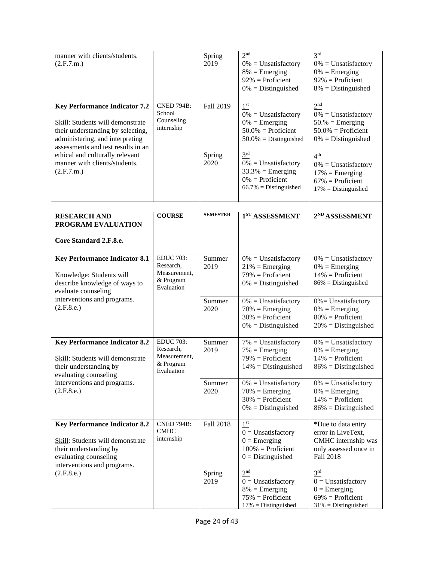| manner with clients/students.<br>(2.F.7.m.)                                                                                                                                                                                                                              |                                                                          | Spring<br>2019              | 2 <sup>nd</sup><br>$0\% =$ Unsatisfactory<br>$8\%$ = Emerging<br>$92\%$ = Proficient<br>$0\%$ = Distinguished                                                                                                                                   | 3 <sup>rd</sup><br>$0\% =$ Unsatisfactory<br>$0\%$ = Emerging<br>$92\%$ = Proficient<br>$8\%$ = Distinguished                                                                                                                              |
|--------------------------------------------------------------------------------------------------------------------------------------------------------------------------------------------------------------------------------------------------------------------------|--------------------------------------------------------------------------|-----------------------------|-------------------------------------------------------------------------------------------------------------------------------------------------------------------------------------------------------------------------------------------------|--------------------------------------------------------------------------------------------------------------------------------------------------------------------------------------------------------------------------------------------|
| <b>Key Performance Indicator 7.2</b><br>Skill: Students will demonstrate<br>their understanding by selecting,<br>administering, and interpreting<br>assessments and test results in an<br>ethical and culturally relevant<br>manner with clients/students.<br>(2.F.7.m.) | <b>CNED 794B:</b><br>School<br>Counseling<br>internship                  | Fall 2019<br>Spring<br>2020 | 1 <sup>st</sup><br>$0\% =$ Unsatisfactory<br>$0\% = \text{Emerging}$<br>$50.0\%$ = Proficient<br>$50.0\%$ = Distinguished<br>3 <sup>rd</sup><br>$0\% =$ Unsatisfactory<br>$33.3\%$ = Emerging<br>$0\%$ = Proficient<br>$66.7\%$ = Distinguished | 2 <sup>nd</sup><br>$0\% =$ Unsatisfactory<br>$50.%$ = Emerging<br>$50.0\%$ = Proficient<br>$0\% = \text{Distinguished}$<br>4 <sup>th</sup><br>$0\% =$ Unsatisfactory<br>$17\%$ = Emerging<br>$67\%$ = Proficient<br>$17\%$ = Distinguished |
| <b>RESEARCH AND</b><br>PROGRAM EVALUATION<br>Core Standard 2.F.8.e.                                                                                                                                                                                                      | <b>COURSE</b>                                                            | <b>SEMESTER</b>             | 1 <sup>ST</sup> ASSESSMENT                                                                                                                                                                                                                      | 2 <sup>ND</sup> ASSESSMENT                                                                                                                                                                                                                 |
| <b>Key Performance Indicator 8.1</b><br>Knowledge: Students will<br>describe knowledge of ways to<br>evaluate counseling                                                                                                                                                 | <b>EDUC 703:</b><br>Research,<br>Measurement,<br>& Program<br>Evaluation | Summer<br>2019              | $0\% =$ Unsatisfactory<br>$21\%$ = Emerging<br>$79\%$ = Proficient<br>$0\% = \text{Distinguished}$                                                                                                                                              | $0\%$ = Unsatisfactory<br>$0\% = \text{Emerging}$<br>$14\%$ = Proficient<br>$86\%$ = Distinguished                                                                                                                                         |
| interventions and programs.<br>(2.F.8.e.)                                                                                                                                                                                                                                |                                                                          | Summer<br>2020              | $0\%$ = Unsatisfactory<br>$70%$ = Emerging<br>$30\%$ = Proficient<br>$0\%$ = Distinguished                                                                                                                                                      | $0\%$ = Unsatisfactory<br>$0\% = \text{Emerging}$<br>$80\%$ = Proficient<br>$20\%$ = Distinguished                                                                                                                                         |
| <b>Key Performance Indicator 8.2</b><br>Skill: Students will demonstrate<br>their understanding by<br>evaluating counseling                                                                                                                                              | <b>EDUC 703:</b><br>Research,<br>Measurement,<br>& Program<br>Evaluation | Summer<br>2019              | $7\%$ = Unsatisfactory<br>$7\%$ = Emerging<br>$79\%$ = Proficient<br>$14\%$ = Distinguished                                                                                                                                                     | $0\%$ = Unsatisfactory<br>$0\% =$ Emerging<br>$14\%$ = Proficient<br>$86\%$ = Distinguished                                                                                                                                                |
| interventions and programs.<br>(2.F.8.e.)                                                                                                                                                                                                                                |                                                                          | Summer<br>2020              | $0\% =$ Unsatisfactory<br>$70%$ = Emerging<br>$30\%$ = Proficient<br>$0\%$ = Distinguished                                                                                                                                                      | $0\% =$ Unsatisfactory<br>$0\% = \text{Emerging}$<br>$14\%$ = Proficient<br>$86\%$ = Distinguished                                                                                                                                         |
| <b>Key Performance Indicator 8.2</b><br>Skill: Students will demonstrate<br>their understanding by<br>evaluating counseling<br>interventions and programs.                                                                                                               | <b>CNED 794B:</b><br><b>CMHC</b><br>internship                           | Fall 2018                   | $1^{\rm{st}}$<br>$0 =$ Unsatisfactory<br>$0 =$ Emerging<br>$100%$ = Proficient<br>$0 = Distinguished$                                                                                                                                           | *Due to data entry<br>error in LiveText,<br>CMHC internship was<br>only assessed once in<br><b>Fall 2018</b>                                                                                                                               |
| (2.F.8.e.)                                                                                                                                                                                                                                                               |                                                                          | Spring<br>2019              | 2 <sup>nd</sup><br>$0 =$ Unsatisfactory<br>$8\%$ = Emerging<br>$75%$ = Proficient<br>$17\%$ = Distinguished                                                                                                                                     | 3 <sup>rd</sup><br>$0 =$ Unsatisfactory<br>$0 =$ Emerging<br>$69\%$ = Proficient<br>$31\%$ = Distinguished                                                                                                                                 |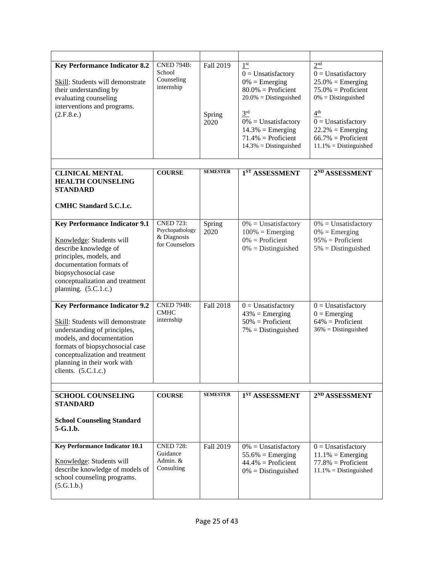| <b>Key Performance Indicator 8.2</b><br>Skill: Students will demonstrate<br>their understanding by<br>evaluating counseling<br>interventions and programs.<br>(2.F.8.e.)                                                                                            | <b>CNED 794B:</b><br>School<br>Counseling<br>internship              | Fall 2019<br>Spring<br>2020 | $1^{\rm{st}}$<br>$0 =$ Unsatisfactory<br>$0\% = \text{Emerging}$<br>$80.0\%$ = Proficient<br>$20.0\%$ = Distinguished<br>3 <sup>rd</sup><br>$0\%$ = Unsatisfactory<br>$14.3\%$ = Emerging<br>$71.4\%$ = Proficient<br>$14.3\%$ = Distinguished | 2 <sup>nd</sup><br>$0 =$ Unsatisfactory<br>$25.0\%$ = Emerging<br>$75.0\%$ = Proficient<br>$0\% = \text{Distinguished}$<br>4 <sup>th</sup><br>$0 =$ Unsatisfactory<br>$22.2\%$ = Emerging<br>$66.7\%$ = Proficient<br>$11.1\%$ = Distinguished |
|---------------------------------------------------------------------------------------------------------------------------------------------------------------------------------------------------------------------------------------------------------------------|----------------------------------------------------------------------|-----------------------------|------------------------------------------------------------------------------------------------------------------------------------------------------------------------------------------------------------------------------------------------|------------------------------------------------------------------------------------------------------------------------------------------------------------------------------------------------------------------------------------------------|
| <b>CLINICAL MENTAL</b><br><b>HEALTH COUNSELING</b><br><b>STANDARD</b><br>CMHC Standard 5.C.1.c.                                                                                                                                                                     | <b>COURSE</b>                                                        | <b>SEMESTER</b>             | 1ST ASSESSMENT                                                                                                                                                                                                                                 | 2 <sup>ND</sup> ASSESSMENT                                                                                                                                                                                                                     |
| <b>Key Performance Indicator 9.1</b><br>Knowledge: Students will<br>describe knowledge of<br>principles, models, and<br>documentation formats of<br>biopsychosocial case<br>conceptualization and treatment<br>planning. $(5.C.1.c.)$                               | <b>CNED 723:</b><br>Psychopathology<br>& Diagnosis<br>for Counselors | Spring<br>2020              | $0\%$ = Unsatisfactory<br>$100\%$ = Emerging<br>$0\%$ = Proficient<br>$0\%$ = Distinguished                                                                                                                                                    | $0\%$ = Unsatisfactory<br>$0\% = \text{Emerging}$<br>$95%$ = Proficient<br>$5\%$ = Distinguished                                                                                                                                               |
| <b>Key Performance Indicator 9.2</b><br>Skill: Students will demonstrate<br>understanding of principles,<br>models, and documentation<br>formats of biopsychosocial case<br>conceptualization and treatment<br>planning in their work with<br>clients. $(5.C.1.c.)$ | <b>CNED 794B:</b><br><b>CMHC</b><br>internship                       | <b>Fall 2018</b>            | $0 =$ Unsatisfactory<br>$43\%$ = Emerging<br>$50\%$ = Proficient<br>$7\%$ = Distinguished                                                                                                                                                      | $0 =$ Unsatisfactory<br>$0 =$ Emerging<br>$64\%$ = Proficient<br>$36\%$ = Distinguished                                                                                                                                                        |
| <b>SCHOOL COUNSELING</b><br><b>STANDARD</b><br><b>School Counseling Standard</b><br>$5 - G.1.b.$                                                                                                                                                                    | <b>COURSE</b>                                                        | <b>SEMESTER</b>             | 1 <sup>ST</sup> ASSESSMENT                                                                                                                                                                                                                     | 2 <sup>ND</sup> ASSESSMENT                                                                                                                                                                                                                     |
| <b>Key Performance Indicator 10.1</b><br>Knowledge: Students will<br>describe knowledge of models of<br>school counseling programs.<br>(5.G.1.b.)                                                                                                                   | <b>CNED 728:</b><br>Guidance<br>Admin. &<br>Consulting               | Fall 2019                   | $0\%$ = Unsatisfactory<br>$55.6\%$ = Emerging<br>$44.4\%$ = Proficient<br>$0\%$ = Distinguished                                                                                                                                                | $0 =$ Unsatisfactory<br>$11.1\%$ = Emerging<br>$77.8\%$ = Proficient<br>$11.1\%$ = Distinguished                                                                                                                                               |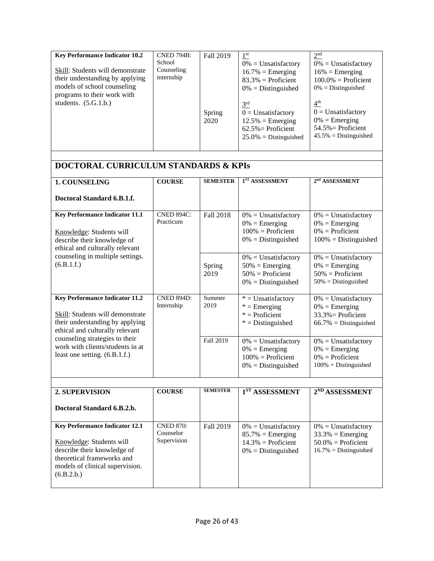| <b>CNED 794B:</b><br><b>Key Performance Indicator 10.2</b><br>School<br>Counseling<br>Skill: Students will demonstrate<br>internship<br>their understanding by applying<br>models of school counseling<br>programs to their work with<br>students. $(5.G.1.b.)$ | Fall 2019<br>Spring<br>2020 | 1 <sup>st</sup><br>$0\% =$ Unsatisfactory<br>$16.7\%$ = Emerging<br>$83.3\%$ = Proficient<br>$0\% = \text{Distinguished}$<br>3 <sup>rd</sup><br>$0 =$ Unsatisfactory<br>$12.5\%$ = Emerging<br>$62.5\%$ Proficient<br>$25.0\% = \text{Distinguished}$ | 2 <sup>nd</sup><br>$0\% =$ Unsatisfactory<br>$16\%$ = Emerging<br>$100.0\%$ = Proficient<br>$0\% = \text{Distinguished}$<br>$\frac{4^{\text{th}}}{\ }$<br>$0 =$ Unsatisfactory<br>$0\% =$ Emerging<br>$54.5\%$ Proficient<br>$45.5\%$ = Distinguished |
|-----------------------------------------------------------------------------------------------------------------------------------------------------------------------------------------------------------------------------------------------------------------|-----------------------------|-------------------------------------------------------------------------------------------------------------------------------------------------------------------------------------------------------------------------------------------------------|-------------------------------------------------------------------------------------------------------------------------------------------------------------------------------------------------------------------------------------------------------|
|                                                                                                                                                                                                                                                                 |                             |                                                                                                                                                                                                                                                       |                                                                                                                                                                                                                                                       |

# **DOCTORAL CURRICULUM STANDARDS & KPIs**

| <b>1. COUNSELING</b>                                                                                                                            | <b>COURSE</b>                   | <b>SEMESTER</b>  | 1 <sup>ST</sup> ASSESSMENT                                                                                | 2 <sup>nd</sup> ASSESSMENT                                                                           |
|-------------------------------------------------------------------------------------------------------------------------------------------------|---------------------------------|------------------|-----------------------------------------------------------------------------------------------------------|------------------------------------------------------------------------------------------------------|
| Doctoral Standard 6.B.1.f.                                                                                                                      |                                 |                  |                                                                                                           |                                                                                                      |
| <b>Key Performance Indicator 11.1</b><br>Knowledge: Students will<br>describe their knowledge of<br>ethical and culturally relevant             | <b>CNED 894C:</b><br>Practicum  | Fall 2018        | $0\% =$ Unsatisfactory<br>$0\% = \text{Emerging}$<br>$100\%$ = Proficient<br>$0\% = \text{Distinguished}$ | $0\%$ = Unsatisfactory<br>$0\% = \text{Emerging}$<br>$0\% =$ Proficient<br>$100\%$ = Distinguished   |
| counseling in multiple settings.<br>(6.B.1.f.)                                                                                                  |                                 | Spring<br>2019   | $0\% =$ Unsatisfactory<br>$50\%$ = Emerging<br>$50\%$ = Proficient<br>$0\% = \text{Distinguished}$        | $0\% =$ Unsatisfactory<br>$0\% = \text{Emerging}$<br>$50\%$ = Proficient<br>$50\%$ = Distinguished   |
| <b>Key Performance Indicator 11.2</b><br>Skill: Students will demonstrate<br>their understanding by applying<br>ethical and culturally relevant | <b>CNED 894D:</b><br>Internship | Summer<br>2019   | $*$ = Unsatisfactory<br>$* =$ Emerging<br>$*$ = Proficient<br>$*$ = Distinguished                         | $0\% =$ Unsatisfactory<br>$0\% = \text{Emerging}$<br>$33.3\%$ Proficient<br>$66.7\%$ = Distinguished |
| counseling strategies to their<br>work with clients/students in at<br>least one setting. (6.B.1.f.)                                             |                                 | <b>Fall 2019</b> | $0\% =$ Unsatisfactory<br>$0\% = \text{Emerging}$<br>$100\%$ = Proficient<br>$0\% = \text{Distinguished}$ | $0\% =$ Unsatisfactory<br>$0\% = \text{Emerging}$<br>$0\%$ = Proficient<br>$100\%$ = Distinguished   |
|                                                                                                                                                 |                                 |                  |                                                                                                           |                                                                                                      |
| <b>2. SUPERVISION</b>                                                                                                                           | <b>COURSE</b>                   | <b>SEMESTER</b>  | 1 <sup>ST</sup> ASSESSMENT                                                                                | 2 <sup>ND</sup> ASSESSMENT                                                                           |
| Doctoral Standard 6 R 2 h                                                                                                                       |                                 |                  |                                                                                                           |                                                                                                      |

| Doctoral Standard 6.B.2.b.                                                                                                                                                      |                                              |           |                                                                                                        |                                                                                                    |
|---------------------------------------------------------------------------------------------------------------------------------------------------------------------------------|----------------------------------------------|-----------|--------------------------------------------------------------------------------------------------------|----------------------------------------------------------------------------------------------------|
| <b>Key Performance Indicator 12.1</b><br>Knowledge: Students will<br>describe their knowledge of<br>theoretical frameworks and<br>models of clinical supervision.<br>(6.B.2.b.) | <b>CNED 870:</b><br>Counselor<br>Supervision | Fall 2019 | $0\% =$ Unsatisfactory<br>$85.7\%$ = Emerging<br>$14.3\%$ = Proficient<br>$0\% = \text{Distinguished}$ | $0\% =$ Unsatisfactory<br>$33.3\%$ = Emerging<br>$50.0\%$ = Proficient<br>$16.7\% = Distinguished$ |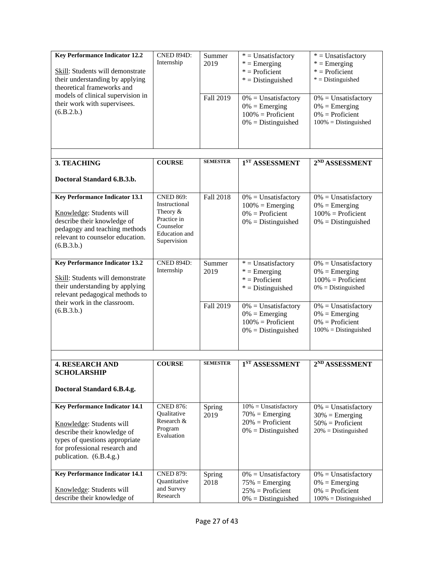| <b>Key Performance Indicator 12.2</b><br>Skill: Students will demonstrate<br>their understanding by applying<br>theoretical frameworks and | <b>CNED 894D:</b><br>Internship | Summer<br>2019 | $*$ = Unsatisfactory<br>$* =$ Emerging<br>$*$ = Proficient<br>$*$ = Distinguished                  | $*$ = Unsatisfactory<br>$* =$ Emerging<br>$*$ = Proficient<br>$*$ = Distinguished           |
|--------------------------------------------------------------------------------------------------------------------------------------------|---------------------------------|----------------|----------------------------------------------------------------------------------------------------|---------------------------------------------------------------------------------------------|
| models of clinical supervision in<br>their work with supervisees.<br>(6.B.2.b.)                                                            |                                 | Fall 2019      | $0\% =$ Unsatisfactory<br>$0\% = \text{Emerging}$<br>$100\%$ = Proficient<br>$0\% = Distinguished$ | $0\% =$ Unsatisfactory<br>$0\% =$ Emerging<br>$0\% =$ Proficient<br>$100\% = Distinguished$ |

 $\mathsf{I}$ 

| 3. TEACHING                                                                                                                                                                         | <b>COURSE</b>                                                                                               | <b>SEMESTER</b> | 1 <sup>ST</sup> ASSESSMENT                                                                                | 2 <sup>ND</sup> ASSESSMENT                                                                                |
|-------------------------------------------------------------------------------------------------------------------------------------------------------------------------------------|-------------------------------------------------------------------------------------------------------------|-----------------|-----------------------------------------------------------------------------------------------------------|-----------------------------------------------------------------------------------------------------------|
| Doctoral Standard 6.B.3.b.                                                                                                                                                          |                                                                                                             |                 |                                                                                                           |                                                                                                           |
| <b>Key Performance Indicator 13.1</b><br>Knowledge: Students will<br>describe their knowledge of<br>pedagogy and teaching methods<br>relevant to counselor education.<br>(6.B.3.b.) | <b>CNED 869:</b><br>Instructional<br>Theory $&$<br>Practice in<br>Counselor<br>Education and<br>Supervision | Fall 2018       | $0\% =$ Unsatisfactory<br>$100\%$ = Emerging<br>$0\% =$ Proficient<br>$0\% = \text{Distinguished}$        | $0\% =$ Unsatisfactory<br>$0\% = \text{Emerging}$<br>$100\%$ = Proficient<br>$0\% = \text{Distinguished}$ |
| <b>Key Performance Indicator 13.2</b><br>Skill: Students will demonstrate<br>their understanding by applying<br>relevant pedagogical methods to                                     | <b>CNED 894D:</b><br>Internship                                                                             | Summer<br>2019  | $*$ = Unsatisfactory<br>$* =$ Emerging<br>$*$ = Proficient<br>$*$ = Distinguished                         | $0\% =$ Unsatisfactory<br>$0\% = \text{Emerging}$<br>$100\%$ = Proficient<br>$0\% = \text{Distinguished}$ |
| their work in the classroom.<br>(6.B.3.b.)                                                                                                                                          |                                                                                                             | Fall 2019       | $0\% =$ Unsatisfactory<br>$0\% = \text{Emerging}$<br>$100\%$ = Proficient<br>$0\% = \text{Distinguished}$ | $0\% =$ Unsatisfactory<br>$0\% =$ Emerging<br>$0\% =$ Proficient<br>$100\%$ = Distinguished               |

| <b>4. RESEARCH AND</b><br><b>SCHOLARSHIP</b><br>Doctoral Standard 6.B.4.g.                                                                                                                     | <b>COURSE</b>                                                                        | <b>SEMESTER</b> | $1ST$ ASSESSMENT                                                                             | 2 <sup>ND</sup> ASSESSMENT                                                                          |
|------------------------------------------------------------------------------------------------------------------------------------------------------------------------------------------------|--------------------------------------------------------------------------------------|-----------------|----------------------------------------------------------------------------------------------|-----------------------------------------------------------------------------------------------------|
| <b>Key Performance Indicator 14.1</b><br>Knowledge: Students will<br>describe their knowledge of<br>types of questions appropriate<br>for professional research and<br>publication. (6.B.4.g.) | <b>CNED 876:</b><br><i><b>Oualitative</b></i><br>Research &<br>Program<br>Evaluation | Spring<br>2019  | $10\% =$ Unsatisfactory<br>$70\% =$ Emerging<br>$20\%$ = Proficient<br>$0\% = Distinguished$ | $0\% =$ Unsatisfactory<br>$30\% =$ Emerging<br>$50\%$ = Proficient<br>$20\% = \text{Distinguished}$ |
| <b>Key Performance Indicator 14.1</b><br>Knowledge: Students will<br>describe their knowledge of                                                                                               | <b>CNED 879:</b><br>Quantitative<br>and Survey<br>Research                           | Spring<br>2018  | $0\% =$ Unsatisfactory<br>$75\%$ = Emerging<br>$25\%$ = Proficient<br>$0\% = Distinguished$  | $0\% =$ Unsatisfactory<br>$0\% = \text{Emerging}$<br>$0\% =$ Proficient<br>$100\% = Distinguished$  |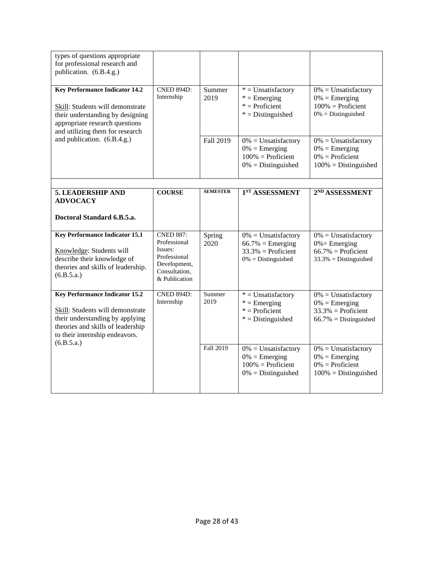| types of questions appropriate<br>for professional research and<br>publication. (6.B.4.g.)                                                                                                        |                                                                                                               |                 |                                                                                                    |                                                                                                    |
|---------------------------------------------------------------------------------------------------------------------------------------------------------------------------------------------------|---------------------------------------------------------------------------------------------------------------|-----------------|----------------------------------------------------------------------------------------------------|----------------------------------------------------------------------------------------------------|
| <b>Key Performance Indicator 14.2</b><br>Skill: Students will demonstrate<br>their understanding by designing<br>appropriate research questions<br>and utilizing them for research                | <b>CNED 894D:</b><br>Internship                                                                               | Summer<br>2019  | $*$ = Unsatisfactory<br>$* =$ Emerging<br>$*$ = Proficient<br>$*$ = Distinguished                  | $0\% =$ Unsatisfactory<br>$0\% = \text{Emerging}$<br>$100\%$ = Proficient<br>$0\%$ = Distinguished |
| and publication. (6.B.4.g.)                                                                                                                                                                       |                                                                                                               | Fall 2019       | $0\%$ = Unsatisfactory<br>$0\% =$ Emerging<br>$100\%$ = Proficient<br>$0\%$ = Distinguished        | $0\% =$ Unsatisfactory<br>$0\% =$ Emerging<br>$0\% = \text{Profit}$<br>$100\%$ = Distinguished     |
|                                                                                                                                                                                                   |                                                                                                               | <b>SEMESTER</b> |                                                                                                    |                                                                                                    |
| 5. LEADERSHIP AND<br><b>ADVOCACY</b>                                                                                                                                                              | <b>COURSE</b>                                                                                                 |                 | 1 <sup>ST</sup> ASSESSMENT                                                                         | 2 <sup>ND</sup> ASSESSMENT                                                                         |
| Doctoral Standard 6.B.5.a.                                                                                                                                                                        |                                                                                                               |                 |                                                                                                    |                                                                                                    |
| <b>Key Performance Indicator 15.1</b><br>Knowledge: Students will<br>describe their knowledge of<br>theories and skills of leadership.<br>(6.B.5.a.)                                              | <b>CNED 887:</b><br>Professional<br>Issues:<br>Professional<br>Development,<br>Consultation,<br>& Publication | Spring<br>2020  | $0\%$ = Unsatisfactory<br>$66.7\%$ = Emerging<br>$33.3\%$ = Proficient<br>$0\%$ = Distinguished    | $0\% =$ Unsatisfactory<br>$0\%$ = Emerging<br>$66.7\%$ = Proficient<br>$33.3\%$ = Distinguished    |
| <b>Key Performance Indicator 15.2</b><br>Skill: Students will demonstrate<br>their understanding by applying<br>theories and skills of leadership<br>to their internship endeavors.<br>(6.B.5.a.) | <b>CNED 894D:</b><br>Internship                                                                               | Summer<br>2019  | $*$ = Unsatisfactory<br>$* =$ Emerging<br>$*$ = Proficient<br>$*$ = Distinguished                  | $0\% =$ Unsatisfactory<br>$0\% =$ Emerging<br>$33.3\%$ = Proficient<br>$66.7\%$ = Distinguished    |
|                                                                                                                                                                                                   |                                                                                                               | Fall 2019       | $0\%$ = Unsatisfactory<br>$0\% = \text{Emerging}$<br>$100\%$ = Proficient<br>$0\%$ = Distinguished | $0\% =$ Unsatisfactory<br>$0\% =$ Emerging<br>$0\%$ = Proficient<br>$100\%$ = Distinguished        |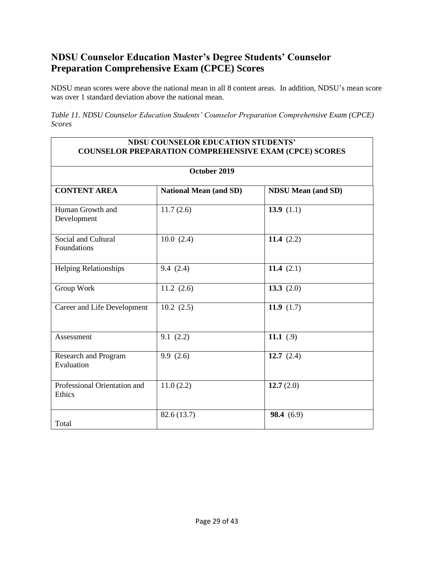# <span id="page-28-0"></span>**NDSU Counselor Education Master's Degree Students' Counselor Preparation Comprehensive Exam (CPCE) Scores**

NDSU mean scores were above the national mean in all 8 content areas. In addition, NDSU's mean score was over 1 standard deviation above the national mean.

*Table 11. NDSU Counselor Education Students' Counselor Preparation Comprehensive Exam (CPCE) Scores*

#### **NDSU COUNSELOR EDUCATION STUDENTS' COUNSELOR PREPARATION COMPREHENSIVE EXAM (CPCE) SCORES**

| October 2019                           |                               |                           |  |  |  |
|----------------------------------------|-------------------------------|---------------------------|--|--|--|
| <b>CONTENT AREA</b>                    | <b>National Mean (and SD)</b> | <b>NDSU Mean (and SD)</b> |  |  |  |
| Human Growth and<br>Development        | 11.7(2.6)                     | 13.9 $(1.1)$              |  |  |  |
| Social and Cultural<br>Foundations     | 10.0(2.4)                     | 11.4 $(2.2)$              |  |  |  |
| <b>Helping Relationships</b>           | 9.4(2.4)                      | 11.4 $(2.1)$              |  |  |  |
| Group Work                             | 11.2(2.6)                     | 13.3 $(2.0)$              |  |  |  |
| Career and Life Development            | 10.2(2.5)                     | 11.9 $(1.7)$              |  |  |  |
| Assessment                             | 9.1(2.2)                      | 11.1 $(.9)$               |  |  |  |
| Research and Program<br>Evaluation     | 9.9(2.6)                      | 12.7 $(2.4)$              |  |  |  |
| Professional Orientation and<br>Ethics | 11.0(2.2)                     | 12.7(2.0)                 |  |  |  |
| Total                                  | 82.6 (13.7)                   | 98.4(6.9)                 |  |  |  |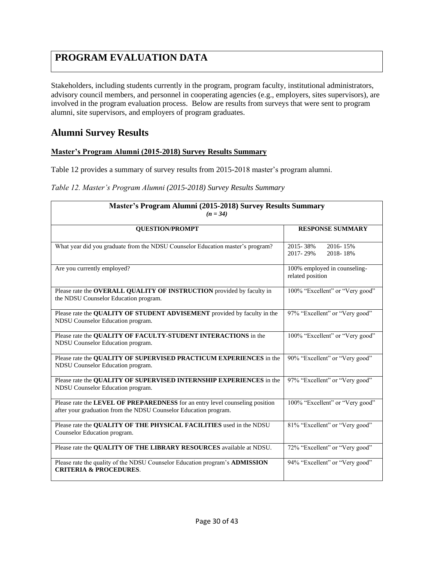# <span id="page-29-0"></span>**PROGRAM EVALUATION DATA**

Stakeholders, including students currently in the program, program faculty, institutional administrators, advisory council members, and personnel in cooperating agencies (e.g., employers, sites supervisors), are involved in the program evaluation process. Below are results from surveys that were sent to program alumni, site supervisors, and employers of program graduates.

### **Alumni Survey Results**

### **Master's Program Alumni (2015-2018) Survey Results Summary**

Table 12 provides a summary of survey results from 2015-2018 master's program alumni.

#### *Table 12. Master's Program Alumni (2015-2018) Survey Results Summary*

| Master's Program Alumni (2015-2018) Survey Results Summary<br>$(n = 34)$                                                                         |                                                  |  |  |  |  |
|--------------------------------------------------------------------------------------------------------------------------------------------------|--------------------------------------------------|--|--|--|--|
| <b>QUESTION/PROMPT</b>                                                                                                                           | <b>RESPONSE SUMMARY</b>                          |  |  |  |  |
| What year did you graduate from the NDSU Counselor Education master's program?                                                                   | 2015-38%<br>2016-15%<br>2017-29%<br>2018-18%     |  |  |  |  |
| Are you currently employed?                                                                                                                      | 100% employed in counseling-<br>related position |  |  |  |  |
| Please rate the OVERALL QUALITY OF INSTRUCTION provided by faculty in<br>the NDSU Counselor Education program.                                   | 100% "Excellent" or "Very good"                  |  |  |  |  |
| Please rate the QUALITY OF STUDENT ADVISEMENT provided by faculty in the<br>NDSU Counselor Education program.                                    | 97% "Excellent" or "Very good"                   |  |  |  |  |
| Please rate the QUALITY OF FACULTY-STUDENT INTERACTIONS in the<br>NDSU Counselor Education program.                                              | 100% "Excellent" or "Very good"                  |  |  |  |  |
| Please rate the QUALITY OF SUPERVISED PRACTICUM EXPERIENCES in the<br>NDSU Counselor Education program.                                          | 90% "Excellent" or "Very good"                   |  |  |  |  |
| Please rate the QUALITY OF SUPERVISED INTERNSHIP EXPERIENCES in the<br>NDSU Counselor Education program.                                         | 97% "Excellent" or "Very good"                   |  |  |  |  |
| Please rate the LEVEL OF PREPAREDNESS for an entry level counseling position<br>after your graduation from the NDSU Counselor Education program. | 100% "Excellent" or "Very good"                  |  |  |  |  |
| Please rate the QUALITY OF THE PHYSICAL FACILITIES used in the NDSU<br>Counselor Education program.                                              | 81% "Excellent" or "Very good"                   |  |  |  |  |
| Please rate the QUALITY OF THE LIBRARY RESOURCES available at NDSU.                                                                              | 72% "Excellent" or "Very good"                   |  |  |  |  |
| Please rate the quality of the NDSU Counselor Education program's ADMISSION<br><b>CRITERIA &amp; PROCEDURES.</b>                                 | 94% "Excellent" or "Very good"                   |  |  |  |  |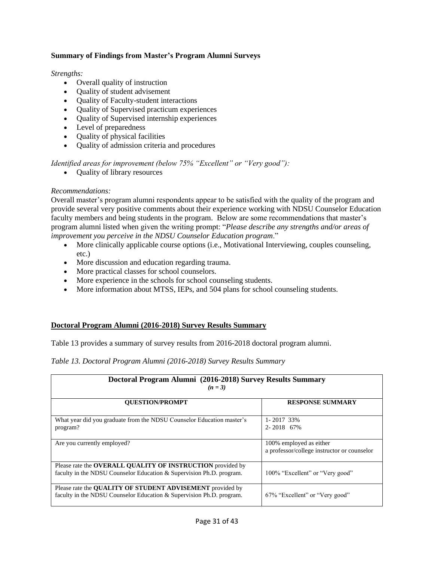### **Summary of Findings from Master's Program Alumni Surveys**

#### *Strengths:*

- Overall quality of instruction
- Quality of student advisement
- Quality of Faculty-student interactions
- Quality of Supervised practicum experiences
- Quality of Supervised internship experiences
- Level of preparedness
- Quality of physical facilities
- Quality of admission criteria and procedures

*Identified areas for improvement (below 75% "Excellent" or "Very good"):*

• Quality of library resources

### *Recommendations:*

Overall master's program alumni respondents appear to be satisfied with the quality of the program and provide several very positive comments about their experience working with NDSU Counselor Education faculty members and being students in the program. Below are some recommendations that master's program alumni listed when given the writing prompt: "*Please describe any strengths and/or areas of improvement you perceive in the NDSU Counselor Education program*."

- More clinically applicable course options (i.e., Motivational Interviewing, couples counseling, etc.)
- More discussion and education regarding trauma.
- More practical classes for school counselors.
- More experience in the schools for school counseling students.
- More information about MTSS, IEPs, and 504 plans for school counseling students.

### **Doctoral Program Alumni (2016-2018) Survey Results Summary**

Table 13 provides a summary of survey results from 2016-2018 doctoral program alumni.

### *Table 13. Doctoral Program Alumni (2016-2018) Survey Results Summary*

| Doctoral Program Alumni (2016-2018) Survey Results Summary<br>$(n = 3)$                                                                  |                                                                        |
|------------------------------------------------------------------------------------------------------------------------------------------|------------------------------------------------------------------------|
| <b>OUESTION/PROMPT</b>                                                                                                                   | <b>RESPONSE SUMMARY</b>                                                |
| What year did you graduate from the NDSU Counselor Education master's<br>program?                                                        | 1-2017 33%<br>2-2018 67%                                               |
| Are you currently employed?                                                                                                              | 100% employed as either<br>a professor/college instructor or counselor |
| Please rate the OVERALL QUALITY OF INSTRUCTION provided by<br>faculty in the NDSU Counselor Education & Supervision Ph.D. program.       | 100% "Excellent" or "Very good"                                        |
| Please rate the <b>QUALITY OF STUDENT ADVISEMENT</b> provided by<br>faculty in the NDSU Counselor Education & Supervision Ph.D. program. | 67% "Excellent" or "Very good"                                         |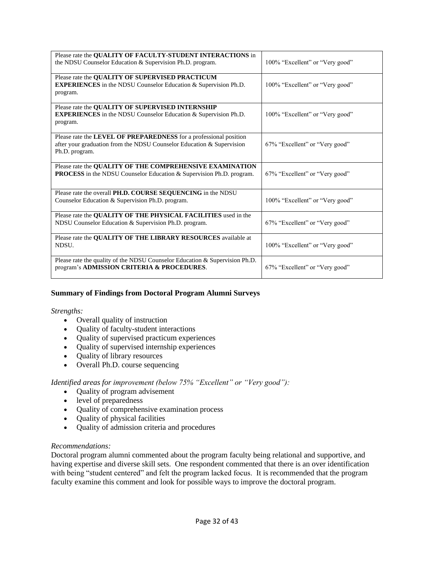| Please rate the QUALITY OF FACULTY-STUDENT INTERACTIONS in                  |                                 |
|-----------------------------------------------------------------------------|---------------------------------|
| the NDSU Counselor Education & Supervision Ph.D. program.                   | 100% "Excellent" or "Very good" |
| Please rate the QUALITY OF SUPERVISED PRACTICUM                             |                                 |
| <b>EXPERIENCES</b> in the NDSU Counselor Education & Supervision Ph.D.      | 100% "Excellent" or "Very good" |
| program.                                                                    |                                 |
| Please rate the QUALITY OF SUPERVISED INTERNSHIP                            |                                 |
| <b>EXPERIENCES</b> in the NDSU Counselor Education & Supervision Ph.D.      | 100% "Excellent" or "Very good" |
| program.                                                                    |                                 |
| Please rate the LEVEL OF PREPAREDNESS for a professional position           |                                 |
| after your graduation from the NDSU Counselor Education & Supervision       | 67% "Excellent" or "Very good"  |
| Ph.D. program.                                                              |                                 |
| Please rate the QUALITY OF THE COMPREHENSIVE EXAMINATION                    |                                 |
| <b>PROCESS</b> in the NDSU Counselor Education & Supervision Ph.D. program. | 67% "Excellent" or "Very good"  |
|                                                                             |                                 |
| Please rate the overall PH.D. COURSE SEQUENCING in the NDSU                 |                                 |
| Counselor Education & Supervision Ph.D. program.                            | 100% "Excellent" or "Very good" |
| Please rate the <b>OUALITY OF THE PHYSICAL FACILITIES</b> used in the       |                                 |
| NDSU Counselor Education & Supervision Ph.D. program.                       | 67% "Excellent" or "Very good"  |
|                                                                             |                                 |
| Please rate the QUALITY OF THE LIBRARY RESOURCES available at<br>NDSU.      | 100% "Excellent" or "Very good" |
|                                                                             |                                 |
| Please rate the quality of the NDSU Counselor Education & Supervision Ph.D. |                                 |
| program's ADMISSION CRITERIA & PROCEDURES.                                  | 67% "Excellent" or "Very good"  |
|                                                                             |                                 |

### **Summary of Findings from Doctoral Program Alumni Surveys**

#### *Strengths:*

- Overall quality of instruction
- Quality of faculty-student interactions
- Quality of supervised practicum experiences
- Quality of supervised internship experiences
- Quality of library resources
- Overall Ph.D. course sequencing

#### *Identified areas for improvement (below 75% "Excellent" or "Very good"):*

- Quality of program advisement
- level of preparedness
- Quality of comprehensive examination process
- Quality of physical facilities
- Quality of admission criteria and procedures

#### *Recommendations:*

Doctoral program alumni commented about the program faculty being relational and supportive, and having expertise and diverse skill sets. One respondent commented that there is an over identification with being "student centered" and felt the program lacked focus. It is recommended that the program faculty examine this comment and look for possible ways to improve the doctoral program.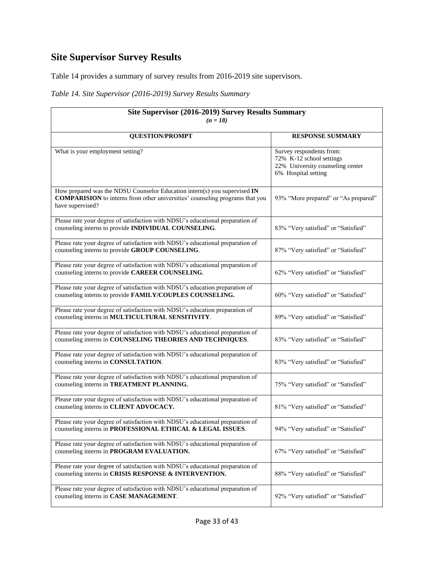# <span id="page-32-0"></span>**Site Supervisor Survey Results**

Table 14 provides a summary of survey results from 2016-2019 site supervisors.

### *Table 14. Site Supervisor (2016-2019) Survey Results Summary*

| Site Supervisor (2016-2019) Survey Results Summary<br>$(n = 18)$                                                                                                                     |                                                                                                                 |
|--------------------------------------------------------------------------------------------------------------------------------------------------------------------------------------|-----------------------------------------------------------------------------------------------------------------|
| <b>QUESTION/PROMPT</b>                                                                                                                                                               | <b>RESPONSE SUMMARY</b>                                                                                         |
| What is your employment setting?                                                                                                                                                     | Survey respondents from:<br>72% K-12 school settings<br>22% University counseling center<br>6% Hospital setting |
| How prepared was the NDSU Counselor Education intern(s) you supervised IN<br><b>COMPARISION</b> to interns from other universities' counseling programs that you<br>have supervised? | 93% "More prepared" or "As prepared"                                                                            |
| Please rate your degree of satisfaction with NDSU's educational preparation of<br>counseling interns to provide INDIVIDUAL COUNSELING.                                               | 83% "Very satisfied" or "Satisfied"                                                                             |
| Please rate your degree of satisfaction with NDSU's educational preparation of<br>counseling interns to provide GROUP COUNSELING.                                                    | 87% "Very satisfied" or "Satisfied"                                                                             |
| Please rate your degree of satisfaction with NDSU's educational preparation of<br>counseling interns to provide CAREER COUNSELING.                                                   | 62% "Very satisfied" or "Satisfied"                                                                             |
| Please rate your degree of satisfaction with NDSU's education preparation of<br>counseling interns to provide FAMILY/COUPLES COUNSELING.                                             | 60% "Very satisfied" or "Satisfied"                                                                             |
| Please rate your degree of satisfaction with NDSU's education preparation of<br>counseling interns in MULTICULTURAL SENSITIVITY.                                                     | 89% "Very satisfied" or "Satisfied"                                                                             |
| Please rate your degree of satisfaction with NDSU's educational preparation of<br>counseling interns in COUNSELING THEORIES AND TECHNIQUES.                                          | 83% "Very satisfied" or "Satisfied"                                                                             |
| Please rate your degree of satisfaction with NDSU's educational preparation of<br>counseling interns in CONSULTATION.                                                                | 83% "Very satisfied" or "Satisfied"                                                                             |
| Please rate your degree of satisfaction with NDSU's educational preparation of<br>counseling interns in TREATMENT PLANNING.                                                          | 75% "Very satisfied" or "Satisfied"                                                                             |
| Please rate your degree of satisfaction with NDSU's educational preparation of<br>counseling interns in CLIENT ADVOCACY.                                                             | 81% "Very satisfied" or "Satisfied"                                                                             |
| Please rate your degree of satisfaction with NDSU's educational preparation of<br>counseling interns in PROFESSIONAL ETHICAL & LEGAL ISSUES.                                         | 94% "Very satisfied" or "Satisfied"                                                                             |
| Please rate your degree of satisfaction with NDSU's educational preparation of<br>counseling interns in PROGRAM EVALUATION.                                                          | 67% "Very satisfied" or "Satisfied"                                                                             |
| Please rate your degree of satisfaction with NDSU's educational preparation of<br>counseling interns in CRISIS RESPONSE & INTERVENTION.                                              | 88% "Very satisfied" or "Satisfied"                                                                             |
| Please rate your degree of satisfaction with NDSU's educational preparation of<br>counseling interns in CASE MANAGEMENT.                                                             | 92% "Very satisfied" or "Satisfied"                                                                             |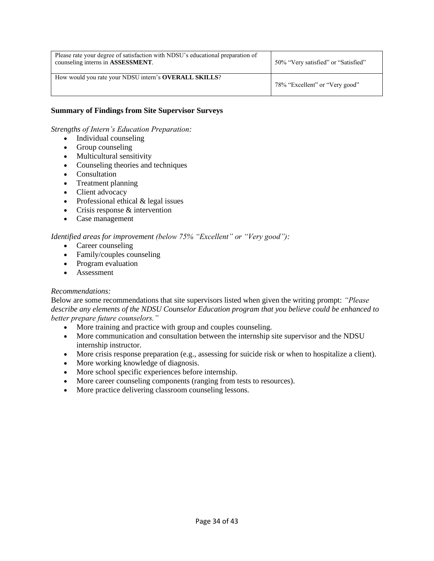| Please rate your degree of satisfaction with NDSU's educational preparation of<br>counseling interns in ASSESSMENT. | 50% "Very satisfied" or "Satisfied" |
|---------------------------------------------------------------------------------------------------------------------|-------------------------------------|
| How would you rate your NDSU intern's <b>OVERALL SKILLS</b> ?                                                       | 78% "Excellent" or "Very good"      |

#### **Summary of Findings from Site Supervisor Surveys**

*Strengths of Intern's Education Preparation:*

- Individual counseling
- Group counseling
- Multicultural sensitivity
- Counseling theories and techniques
- Consultation
- Treatment planning
- Client advocacy
- Professional ethical & legal issues
- Crisis response & intervention
- Case management

#### *Identified areas for improvement (below 75% "Excellent" or "Very good"):*

- Career counseling
- Family/couples counseling
- Program evaluation
- Assessment

#### *Recommendations:*

Below are some recommendations that site supervisors listed when given the writing prompt: *"Please describe any elements of the NDSU Counselor Education program that you believe could be enhanced to better prepare future counselors."*

- More training and practice with group and couples counseling.
- More communication and consultation between the internship site supervisor and the NDSU internship instructor.
- More crisis response preparation (e.g., assessing for suicide risk or when to hospitalize a client).
- More working knowledge of diagnosis.
- More school specific experiences before internship.
- More career counseling components (ranging from tests to resources).
- More practice delivering classroom counseling lessons.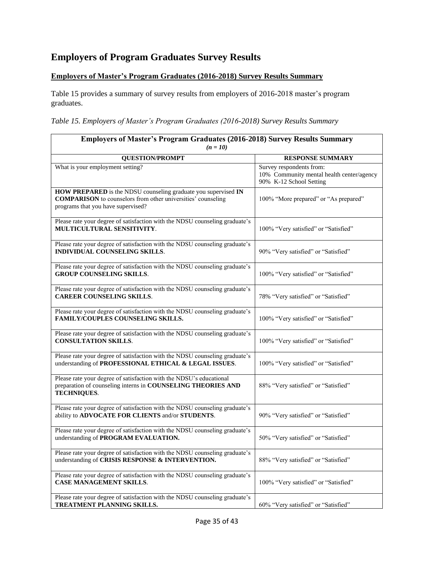# <span id="page-34-0"></span>**Employers of Program Graduates Survey Results**

### **Employers of Master's Program Graduates (2016-2018) Survey Results Summary**

Table 15 provides a summary of survey results from employers of 2016-2018 master's program graduates.

*Table 15. Employers of Master's Program Graduates (2016-2018) Survey Results Summary*

| <b>Employers of Master's Program Graduates (2016-2018) Survey Results Summary</b><br>$(n = 10)$                                                                             |                                                                                                  |
|-----------------------------------------------------------------------------------------------------------------------------------------------------------------------------|--------------------------------------------------------------------------------------------------|
| <b>QUESTION/PROMPT</b>                                                                                                                                                      | <b>RESPONSE SUMMARY</b>                                                                          |
| What is your employment setting?                                                                                                                                            | Survey respondents from:<br>10% Community mental health center/agency<br>90% K-12 School Setting |
| HOW PREPARED is the NDSU counseling graduate you supervised IN<br><b>COMPARISON</b> to counselors from other universities' counseling<br>programs that you have supervised? | 100% "More prepared" or "As prepared"                                                            |
| Please rate your degree of satisfaction with the NDSU counseling graduate's<br>MULTICULTURAL SENSITIVITY.                                                                   | 100% "Very satisfied" or "Satisfied"                                                             |
| Please rate your degree of satisfaction with the NDSU counseling graduate's<br><b>INDIVIDUAL COUNSELING SKILLS.</b>                                                         | 90% "Very satisfied" or "Satisfied"                                                              |
| Please rate your degree of satisfaction with the NDSU counseling graduate's<br><b>GROUP COUNSELING SKILLS.</b>                                                              | 100% "Very satisfied" or "Satisfied"                                                             |
| Please rate your degree of satisfaction with the NDSU counseling graduate's<br><b>CAREER COUNSELING SKILLS.</b>                                                             | 78% "Very satisfied" or "Satisfied"                                                              |
| Please rate your degree of satisfaction with the NDSU counseling graduate's<br>FAMILY/COUPLES COUNSELING SKILLS.                                                            | 100% "Very satisfied" or "Satisfied"                                                             |
| Please rate your degree of satisfaction with the NDSU counseling graduate's<br><b>CONSULTATION SKILLS.</b>                                                                  | 100% "Very satisfied" or "Satisfied"                                                             |
| Please rate your degree of satisfaction with the NDSU counseling graduate's<br>understanding of PROFESSIONAL ETHICAL & LEGAL ISSUES.                                        | 100% "Very satisfied" or "Satisfied"                                                             |
| Please rate your degree of satisfaction with the NDSU's educational<br>preparation of counseling interns in COUNSELING THEORIES AND<br><b>TECHNIQUES.</b>                   | 88% "Very satisfied" or "Satisfied"                                                              |
| Please rate your degree of satisfaction with the NDSU counseling graduate's<br>ability to ADVOCATE FOR CLIENTS and/or STUDENTS.                                             | 90% "Very satisfied" or "Satisfied"                                                              |
| Please rate your degree of satisfaction with the NDSU counseling graduate's<br>understanding of PROGRAM EVALUATION.                                                         | 50% "Very satisfied" or "Satisfied"                                                              |
| Please rate your degree of satisfaction with the NDSU counseling graduate's<br>understanding of CRISIS RESPONSE & INTERVENTION.                                             | 88% "Very satisfied" or "Satisfied"                                                              |
| Please rate your degree of satisfaction with the NDSU counseling graduate's<br><b>CASE MANAGEMENT SKILLS.</b>                                                               | 100% "Very satisfied" or "Satisfied"                                                             |
| Please rate your degree of satisfaction with the NDSU counseling graduate's<br>TREATMENT PLANNING SKILLS.                                                                   | 60% "Very satisfied" or "Satisfied"                                                              |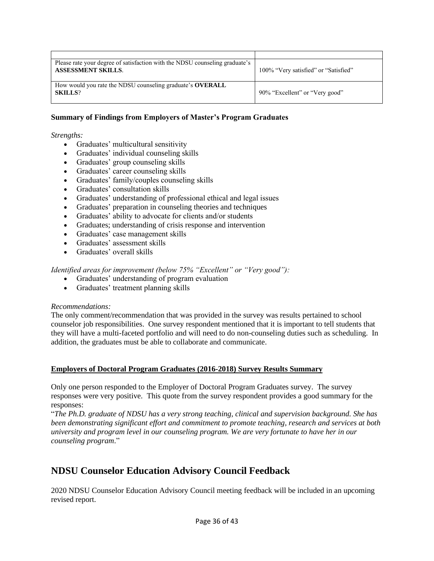| Please rate your degree of satisfaction with the NDSU counseling graduate's<br><b>ASSESSMENT SKILLS.</b> | 100% "Very satisfied" or "Satisfied" |
|----------------------------------------------------------------------------------------------------------|--------------------------------------|
| How would you rate the NDSU counseling graduate's <b>OVERALL</b><br><b>SKILLS?</b>                       | 90% "Excellent" or "Very good"       |

#### **Summary of Findings from Employers of Master's Program Graduates**

#### *Strengths:*

- Graduates' multicultural sensitivity
- Graduates' individual counseling skills
- Graduates' group counseling skills
- Graduates' career counseling skills
- Graduates' family/couples counseling skills
- Graduates' consultation skills
- Graduates' understanding of professional ethical and legal issues
- Graduates' preparation in counseling theories and techniques
- Graduates' ability to advocate for clients and/or students
- Graduates; understanding of crisis response and intervention
- Graduates' case management skills
- Graduates' assessment skills
- Graduates' overall skills

#### *Identified areas for improvement (below 75% "Excellent" or "Very good"):*

- Graduates' understanding of program evaluation
- Graduates' treatment planning skills

#### *Recommendations:*

The only comment/recommendation that was provided in the survey was results pertained to school counselor job responsibilities. One survey respondent mentioned that it is important to tell students that they will have a multi-faceted portfolio and will need to do non-counseling duties such as scheduling. In addition, the graduates must be able to collaborate and communicate.

#### **Employers of Doctoral Program Graduates (2016-2018) Survey Results Summary**

Only one person responded to the Employer of Doctoral Program Graduates survey. The survey responses were very positive. This quote from the survey respondent provides a good summary for the responses:

"*The Ph.D. graduate of NDSU has a very strong teaching, clinical and supervision background. She has been demonstrating significant effort and commitment to promote teaching, research and services at both university and program level in our counseling program. We are very fortunate to have her in our counseling program*."

### **NDSU Counselor Education Advisory Council Feedback**

2020 NDSU Counselor Education Advisory Council meeting feedback will be included in an upcoming revised report.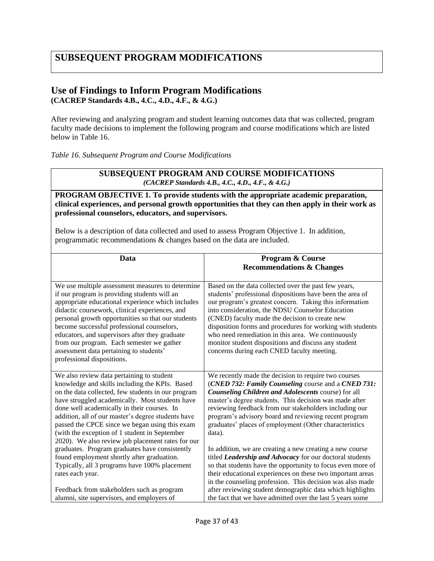# <span id="page-36-0"></span>**SUBSEQUENT PROGRAM MODIFICATIONS**

### **Use of Findings to Inform Program Modifications (CACREP Standards 4.B., 4.C., 4.D., 4.F., & 4.G.)**

After reviewing and analyzing program and student learning outcomes data that was collected, program faculty made decisions to implement the following program and course modifications which are listed below in Table 16.

*Table 16. Subsequent Program and Course Modifications*

#### **SUBSEQUENT PROGRAM AND COURSE MODIFICATIONS** *(CACREP Standards 4.B., 4.C., 4.D., 4.F., & 4.G.)*

#### **PROGRAM OBJECTIVE 1. To provide students with the appropriate academic preparation, clinical experiences, and personal growth opportunities that they can then apply in their work as professional counselors, educators, and supervisors.**

Below is a description of data collected and used to assess Program Objective 1. In addition, programmatic recommendations & changes based on the data are included.

| <b>Data</b>                                                                                                                                                                                                                                                                                                                                                                                                                                                                                                                                                                                                                            | Program & Course                                                                                                                                                                                                                                                                                                                                                                                                                                                                                                                                                                                                                                                                                                                      |
|----------------------------------------------------------------------------------------------------------------------------------------------------------------------------------------------------------------------------------------------------------------------------------------------------------------------------------------------------------------------------------------------------------------------------------------------------------------------------------------------------------------------------------------------------------------------------------------------------------------------------------------|---------------------------------------------------------------------------------------------------------------------------------------------------------------------------------------------------------------------------------------------------------------------------------------------------------------------------------------------------------------------------------------------------------------------------------------------------------------------------------------------------------------------------------------------------------------------------------------------------------------------------------------------------------------------------------------------------------------------------------------|
|                                                                                                                                                                                                                                                                                                                                                                                                                                                                                                                                                                                                                                        | <b>Recommendations &amp; Changes</b>                                                                                                                                                                                                                                                                                                                                                                                                                                                                                                                                                                                                                                                                                                  |
| We use multiple assessment measures to determine<br>if our program is providing students will an<br>appropriate educational experience which includes<br>didactic coursework, clinical experiences, and<br>personal growth opportunities so that our students<br>become successful professional counselors,<br>educators, and supervisors after they graduate<br>from our program. Each semester we gather<br>assessment data pertaining to students'<br>professional dispositions.                                                                                                                                                    | Based on the data collected over the past few years,<br>students' professional dispositions have been the area of<br>our program's greatest concern. Taking this information<br>into consideration, the NDSU Counselor Education<br>(CNED) faculty made the decision to create new<br>disposition forms and procedures for working with students<br>who need remediation in this area. We continuously<br>monitor student dispositions and discuss any student<br>concerns during each CNED faculty meeting.                                                                                                                                                                                                                          |
| We also review data pertaining to student<br>knowledge and skills including the KPIs. Based<br>on the data collected, few students in our program<br>have struggled academically. Most students have<br>done well academically in their courses. In<br>addition, all of our master's degree students have<br>passed the CPCE since we began using this exam<br>(with the exception of 1 student in September<br>2020). We also review job placement rates for our<br>graduates. Program graduates have consistently<br>found employment shortly after graduation.<br>Typically, all 3 programs have 100% placement<br>rates each year. | We recently made the decision to require two courses<br>(CNED 732: Family Counseling course and a CNED 731:<br>Counseling Children and Adolescents course) for all<br>master's degree students. This decision was made after<br>reviewing feedback from our stakeholders including our<br>program's advisory board and reviewing recent program<br>graduates' places of employment (Other characteristics<br>data).<br>In addition, we are creating a new creating a new course<br>titled Leadership and Advocacy for our doctoral students<br>so that students have the opportunity to focus even more of<br>their educational experiences on these two important areas<br>in the counseling profession. This decision was also made |
| Feedback from stakeholders such as program<br>alumni, site supervisors, and employers of                                                                                                                                                                                                                                                                                                                                                                                                                                                                                                                                               | after reviewing student demographic data which highlights<br>the fact that we have admitted over the last 5 years some                                                                                                                                                                                                                                                                                                                                                                                                                                                                                                                                                                                                                |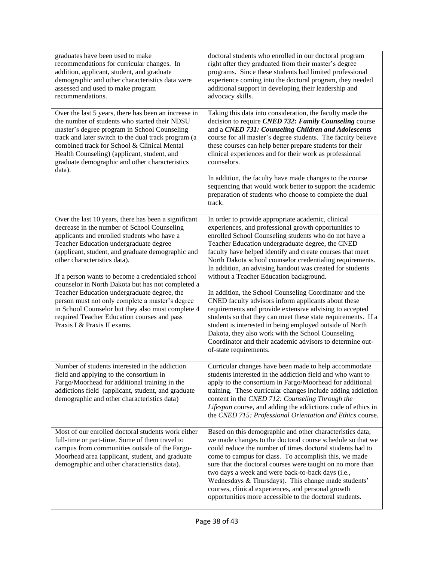| graduates have been used to make<br>recommendations for curricular changes. In<br>addition, applicant, student, and graduate<br>demographic and other characteristics data were<br>assessed and used to make program<br>recommendations.                                                                                                                                                                                                                                                                                                                                                                                         | doctoral students who enrolled in our doctoral program<br>right after they graduated from their master's degree<br>programs. Since these students had limited professional<br>experience coming into the doctoral program, they needed<br>additional support in developing their leadership and<br>advocacy skills.                                                                                                                                                                                                                                                                                                                                                                                                                                                                                                                                                                                             |
|----------------------------------------------------------------------------------------------------------------------------------------------------------------------------------------------------------------------------------------------------------------------------------------------------------------------------------------------------------------------------------------------------------------------------------------------------------------------------------------------------------------------------------------------------------------------------------------------------------------------------------|-----------------------------------------------------------------------------------------------------------------------------------------------------------------------------------------------------------------------------------------------------------------------------------------------------------------------------------------------------------------------------------------------------------------------------------------------------------------------------------------------------------------------------------------------------------------------------------------------------------------------------------------------------------------------------------------------------------------------------------------------------------------------------------------------------------------------------------------------------------------------------------------------------------------|
| Over the last 5 years, there has been an increase in<br>the number of students who started their NDSU<br>master's degree program in School Counseling<br>track and later switch to the dual track program (a<br>combined track for School & Clinical Mental<br>Health Counseling) (applicant, student, and<br>graduate demographic and other characteristics<br>data).                                                                                                                                                                                                                                                           | Taking this data into consideration, the faculty made the<br>decision to require CNED 732: Family Counseling course<br>and a CNED 731: Counseling Children and Adolescents<br>course for all master's degree students. The faculty believe<br>these courses can help better prepare students for their<br>clinical experiences and for their work as professional<br>counselors.                                                                                                                                                                                                                                                                                                                                                                                                                                                                                                                                |
|                                                                                                                                                                                                                                                                                                                                                                                                                                                                                                                                                                                                                                  | In addition, the faculty have made changes to the course<br>sequencing that would work better to support the academic<br>preparation of students who choose to complete the dual<br>track.                                                                                                                                                                                                                                                                                                                                                                                                                                                                                                                                                                                                                                                                                                                      |
| Over the last 10 years, there has been a significant<br>decrease in the number of School Counseling<br>applicants and enrolled students who have a<br>Teacher Education undergraduate degree<br>(applicant, student, and graduate demographic and<br>other characteristics data).<br>If a person wants to become a credentialed school<br>counselor in North Dakota but has not completed a<br>Teacher Education undergraduate degree, the<br>person must not only complete a master's degree<br>in School Counselor but they also must complete 4<br>required Teacher Education courses and pass<br>Praxis I & Praxis II exams. | In order to provide appropriate academic, clinical<br>experiences, and professional growth opportunities to<br>enrolled School Counseling students who do not have a<br>Teacher Education undergraduate degree, the CNED<br>faculty have helped identify and create courses that meet<br>North Dakota school counselor credentialing requirements.<br>In addition, an advising handout was created for students<br>without a Teacher Education background.<br>In addition, the School Counseling Coordinator and the<br>CNED faculty advisors inform applicants about these<br>requirements and provide extensive advising to accepted<br>students so that they can meet these state requirements. If a<br>student is interested in being employed outside of North<br>Dakota, they also work with the School Counseling<br>Coordinator and their academic advisors to determine out-<br>of-state requirements. |
| Number of students interested in the addiction<br>field and applying to the consortium in<br>Fargo/Moorhead for additional training in the<br>addictions field (applicant, student, and graduate<br>demographic and other characteristics data)                                                                                                                                                                                                                                                                                                                                                                                  | Curricular changes have been made to help accommodate<br>students interested in the addiction field and who want to<br>apply to the consortium in Fargo/Moorhead for additional<br>training. These curricular changes include adding addiction<br>content in the CNED 712: Counseling Through the<br>Lifespan course, and adding the addictions code of ethics in<br>the CNED 715: Professional Orientation and Ethics course.                                                                                                                                                                                                                                                                                                                                                                                                                                                                                  |
| Most of our enrolled doctoral students work either<br>full-time or part-time. Some of them travel to<br>campus from communities outside of the Fargo-<br>Moorhead area (applicant, student, and graduate<br>demographic and other characteristics data).                                                                                                                                                                                                                                                                                                                                                                         | Based on this demographic and other characteristics data,<br>we made changes to the doctoral course schedule so that we<br>could reduce the number of times doctoral students had to<br>come to campus for class. To accomplish this, we made<br>sure that the doctoral courses were taught on no more than<br>two days a week and were back-to-back days (i.e.,<br>Wednesdays & Thursdays). This change made students'<br>courses, clinical experiences, and personal growth<br>opportunities more accessible to the doctoral students.                                                                                                                                                                                                                                                                                                                                                                        |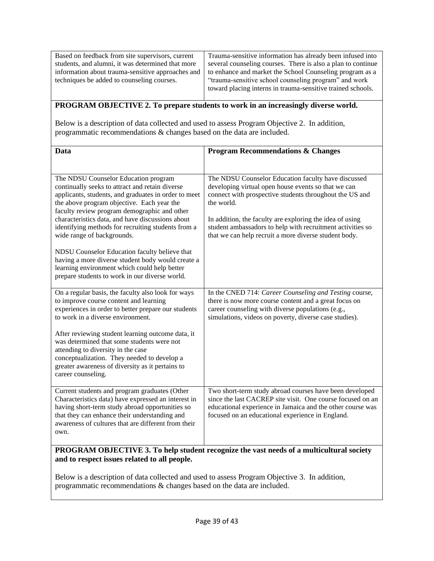| Based on feedback from site supervisors, current  | Trauma-sensitive information has already been infused into   |
|---------------------------------------------------|--------------------------------------------------------------|
| students, and alumni, it was determined that more | several counseling courses. There is also a plan to continue |
| information about trauma-sensitive approaches and | to enhance and market the School Counseling program as a     |
| techniques be added to counseling courses.        | "trauma-sensitive school counseling program" and work        |
|                                                   | toward placing interns in trauma-sensitive trained schools.  |

### **PROGRAM OBJECTIVE 2. To prepare students to work in an increasingly diverse world.**

Below is a description of data collected and used to assess Program Objective 2. In addition, programmatic recommendations & changes based on the data are included.

| Data                                                                                                                                                                                                                                                                                                                                                                                  | <b>Program Recommendations &amp; Changes</b>                                                                                                                                                                                                                                                                                                                           |
|---------------------------------------------------------------------------------------------------------------------------------------------------------------------------------------------------------------------------------------------------------------------------------------------------------------------------------------------------------------------------------------|------------------------------------------------------------------------------------------------------------------------------------------------------------------------------------------------------------------------------------------------------------------------------------------------------------------------------------------------------------------------|
|                                                                                                                                                                                                                                                                                                                                                                                       |                                                                                                                                                                                                                                                                                                                                                                        |
| The NDSU Counselor Education program<br>continually seeks to attract and retain diverse<br>applicants, students, and graduates in order to meet<br>the above program objective. Each year the<br>faculty review program demographic and other<br>characteristics data, and have discussions about<br>identifying methods for recruiting students from a<br>wide range of backgrounds. | The NDSU Counselor Education faculty have discussed<br>developing virtual open house events so that we can<br>connect with prospective students throughout the US and<br>the world.<br>In addition, the faculty are exploring the idea of using<br>student ambassadors to help with recruitment activities so<br>that we can help recruit a more diverse student body. |
| NDSU Counselor Education faculty believe that<br>having a more diverse student body would create a<br>learning environment which could help better<br>prepare students to work in our diverse world.                                                                                                                                                                                  |                                                                                                                                                                                                                                                                                                                                                                        |
| On a regular basis, the faculty also look for ways<br>to improve course content and learning<br>experiences in order to better prepare our students<br>to work in a diverse environment.                                                                                                                                                                                              | In the CNED 714: Career Counseling and Testing course,<br>there is now more course content and a great focus on<br>career counseling with diverse populations (e.g.,<br>simulations, videos on poverty, diverse case studies).                                                                                                                                         |
| After reviewing student learning outcome data, it<br>was determined that some students were not<br>attending to diversity in the case<br>conceptualization. They needed to develop a<br>greater awareness of diversity as it pertains to<br>career counseling.                                                                                                                        |                                                                                                                                                                                                                                                                                                                                                                        |
| Current students and program graduates (Other<br>Characteristics data) have expressed an interest in<br>having short-term study abroad opportunities so<br>that they can enhance their understanding and<br>awareness of cultures that are different from their<br>own.                                                                                                               | Two short-term study abroad courses have been developed<br>since the last CACREP site visit. One course focused on an<br>educational experience in Jamaica and the other course was<br>focused on an educational experience in England.                                                                                                                                |

### **PROGRAM OBJECTIVE 3. To help student recognize the vast needs of a multicultural society and to respect issues related to all people.**

Below is a description of data collected and used to assess Program Objective 3. In addition, programmatic recommendations & changes based on the data are included.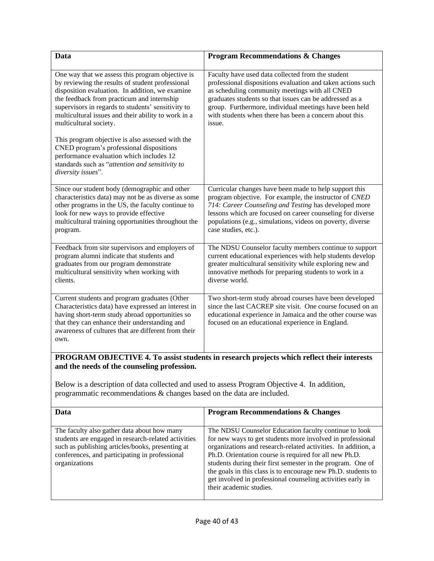| Data                                                                                                                                                                                                                                                                                                                                         | <b>Program Recommendations &amp; Changes</b>                                                                                                                                                                                                                                                                                                                |
|----------------------------------------------------------------------------------------------------------------------------------------------------------------------------------------------------------------------------------------------------------------------------------------------------------------------------------------------|-------------------------------------------------------------------------------------------------------------------------------------------------------------------------------------------------------------------------------------------------------------------------------------------------------------------------------------------------------------|
| One way that we assess this program objective is<br>by reviewing the results of student professional<br>disposition evaluation. In addition, we examine<br>the feedback from practicum and internship<br>supervisors in regards to students' sensitivity to<br>multicultural issues and their ability to work in a<br>multicultural society. | Faculty have used data collected from the student<br>professional dispositions evaluation and taken actions such<br>as scheduling community meetings with all CNED<br>graduates students so that issues can be addressed as a<br>group. Furthermore, individual meetings have been held<br>with students when there has been a concern about this<br>issue. |
| This program objective is also assessed with the<br>CNED program's professional dispositions<br>performance evaluation which includes 12<br>standards such as "attention and sensitivity to<br>diversity issues".                                                                                                                            |                                                                                                                                                                                                                                                                                                                                                             |
| Since our student body (demographic and other<br>characteristics data) may not be as diverse as some<br>other programs in the US, the faculty continue to<br>look for new ways to provide effective<br>multicultural training opportunities throughout the<br>program.                                                                       | Curricular changes have been made to help support this<br>program objective. For example, the instructor of CNED<br>714: Career Counseling and Testing has developed more<br>lessons which are focused on career counseling for diverse<br>populations (e.g., simulations, videos on poverty, diverse<br>case studies, etc.).                               |
| Feedback from site supervisors and employers of<br>program alumni indicate that students and<br>graduates from our program demonstrate<br>multicultural sensitivity when working with<br>clients.                                                                                                                                            | The NDSU Counselor faculty members continue to support<br>current educational experiences with help students develop<br>greater multicultural sensitivity while exploring new and<br>innovative methods for preparing students to work in a<br>diverse world.                                                                                               |
| Current students and program graduates (Other<br>Characteristics data) have expressed an interest in<br>having short-term study abroad opportunities so<br>that they can enhance their understanding and<br>awareness of cultures that are different from their<br>own.                                                                      | Two short-term study abroad courses have been developed<br>since the last CACREP site visit. One course focused on an<br>educational experience in Jamaica and the other course was<br>focused on an educational experience in England.                                                                                                                     |

### **PROGRAM OBJECTIVE 4. To assist students in research projects which reflect their interests and the needs of the counseling profession.**

Below is a description of data collected and used to assess Program Objective 4. In addition, programmatic recommendations & changes based on the data are included.

| Data                                                                                                                                                                                                                      | <b>Program Recommendations &amp; Changes</b>                                                                                                                                                                                                                                                                                                                                                                                                                             |
|---------------------------------------------------------------------------------------------------------------------------------------------------------------------------------------------------------------------------|--------------------------------------------------------------------------------------------------------------------------------------------------------------------------------------------------------------------------------------------------------------------------------------------------------------------------------------------------------------------------------------------------------------------------------------------------------------------------|
| The faculty also gather data about how many<br>students are engaged in research-related activities<br>such as publishing articles/books, presenting at<br>conferences, and participating in professional<br>organizations | The NDSU Counselor Education faculty continue to look<br>for new ways to get students more involved in professional<br>organizations and research-related activities. In addition, a<br>Ph.D. Orientation course is required for all new Ph.D.<br>students during their first semester in the program. One of<br>the goals in this class is to encourage new Ph.D. students to<br>get involved in professional counseling activities early in<br>their academic studies. |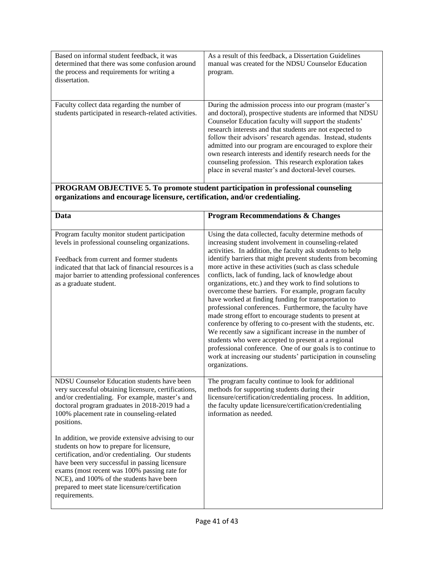| Based on informal student feedback, it was<br>determined that there was some confusion around<br>the process and requirements for writing a<br>dissertation. | As a result of this feedback, a Dissertation Guidelines<br>manual was created for the NDSU Counselor Education<br>program.                                                                                                                                                                                                                                                                                                                                                                                                                              |
|--------------------------------------------------------------------------------------------------------------------------------------------------------------|---------------------------------------------------------------------------------------------------------------------------------------------------------------------------------------------------------------------------------------------------------------------------------------------------------------------------------------------------------------------------------------------------------------------------------------------------------------------------------------------------------------------------------------------------------|
| Faculty collect data regarding the number of<br>students participated in research-related activities.                                                        | During the admission process into our program (master's<br>and doctoral), prospective students are informed that NDSU<br>Counselor Education faculty will support the students'<br>research interests and that students are not expected to<br>follow their advisors' research agendas. Instead, students<br>admitted into our program are encouraged to explore their<br>own research interests and identify research needs for the<br>counseling profession. This research exploration takes<br>place in several master's and doctoral-level courses. |

#### **PROGRAM OBJECTIVE 5. To promote student participation in professional counseling organizations and encourage licensure, certification, and/or credentialing.**

| Data                                                                                                                                                                                                                                                                                                                                                                 | <b>Program Recommendations &amp; Changes</b>                                                                                                                                                                                                                                                                                                                                                                                                                                                                                                                                                                                                                                                                                                                                                                                                                                                                                                                                                     |
|----------------------------------------------------------------------------------------------------------------------------------------------------------------------------------------------------------------------------------------------------------------------------------------------------------------------------------------------------------------------|--------------------------------------------------------------------------------------------------------------------------------------------------------------------------------------------------------------------------------------------------------------------------------------------------------------------------------------------------------------------------------------------------------------------------------------------------------------------------------------------------------------------------------------------------------------------------------------------------------------------------------------------------------------------------------------------------------------------------------------------------------------------------------------------------------------------------------------------------------------------------------------------------------------------------------------------------------------------------------------------------|
| Program faculty monitor student participation<br>levels in professional counseling organizations.<br>Feedback from current and former students<br>indicated that that lack of financial resources is a<br>major barrier to attending professional conferences<br>as a graduate student.                                                                              | Using the data collected, faculty determine methods of<br>increasing student involvement in counseling-related<br>activities. In addition, the faculty ask students to help<br>identify barriers that might prevent students from becoming<br>more active in these activities (such as class schedule<br>conflicts, lack of funding, lack of knowledge about<br>organizations, etc.) and they work to find solutions to<br>overcome these barriers. For example, program faculty<br>have worked at finding funding for transportation to<br>professional conferences. Furthermore, the faculty have<br>made strong effort to encourage students to present at<br>conference by offering to co-present with the students, etc.<br>We recently saw a significant increase in the number of<br>students who were accepted to present at a regional<br>professional conference. One of our goals is to continue to<br>work at increasing our students' participation in counseling<br>organizations. |
| NDSU Counselor Education students have been<br>very successful obtaining licensure, certifications,<br>and/or credentialing. For example, master's and<br>doctoral program graduates in 2018-2019 had a<br>100% placement rate in counseling-related<br>positions.                                                                                                   | The program faculty continue to look for additional<br>methods for supporting students during their<br>licensure/certification/credentialing process. In addition,<br>the faculty update licensure/certification/credentialing<br>information as needed.                                                                                                                                                                                                                                                                                                                                                                                                                                                                                                                                                                                                                                                                                                                                         |
| In addition, we provide extensive advising to our<br>students on how to prepare for licensure,<br>certification, and/or credentialing. Our students<br>have been very successful in passing licensure<br>exams (most recent was 100% passing rate for<br>NCE), and 100% of the students have been<br>prepared to meet state licensure/certification<br>requirements. |                                                                                                                                                                                                                                                                                                                                                                                                                                                                                                                                                                                                                                                                                                                                                                                                                                                                                                                                                                                                  |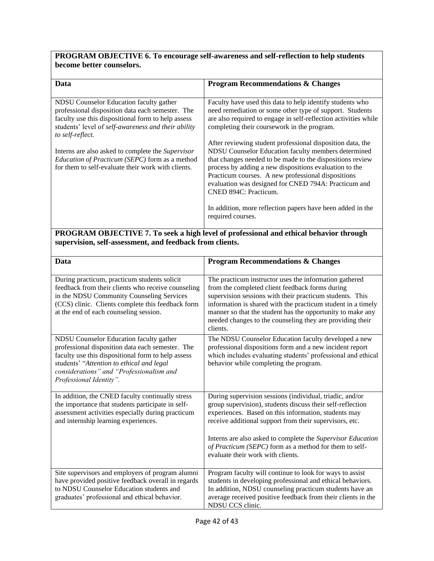### **PROGRAM OBJECTIVE 6. To encourage self-awareness and self-reflection to help students become better counselors.**

| Data                                                                                                 | <b>Program Recommendations &amp; Changes</b>                    |  |
|------------------------------------------------------------------------------------------------------|-----------------------------------------------------------------|--|
|                                                                                                      |                                                                 |  |
| NDSU Counselor Education faculty gather                                                              | Faculty have used this data to help identify students who       |  |
| professional disposition data each semester. The                                                     | need remediation or some other type of support. Students        |  |
| faculty use this dispositional form to help assess                                                   | are also required to engage in self-reflection activities while |  |
| students' level of self-awareness and their ability<br>to self-reflect.                              | completing their coursework in the program.                     |  |
|                                                                                                      | After reviewing student professional disposition data, the      |  |
| Interns are also asked to complete the <i>Supervisor</i>                                             | NDSU Counselor Education faculty members determined             |  |
| Education of Practicum (SEPC) form as a method                                                       | that changes needed to be made to the dispositions review       |  |
| for them to self-evaluate their work with clients.                                                   | process by adding a new dispositions evaluation to the          |  |
|                                                                                                      | Practicum courses. A new professional dispositions              |  |
|                                                                                                      | evaluation was designed for CNED 794A: Practicum and            |  |
|                                                                                                      | CNED 894C: Practicum.                                           |  |
|                                                                                                      |                                                                 |  |
|                                                                                                      | In addition, more reflection papers have been added in the      |  |
|                                                                                                      | required courses.                                               |  |
|                                                                                                      |                                                                 |  |
| $DDOCD$ AM $ODIPCPTVIF$ $\pi$ $T_2$ such a kigh level of nucleosianal and othical hological thuorral |                                                                 |  |

#### **PROGRAM OBJECTIVE 7. To seek a high level of professional and ethical behavior through supervision, self-assessment, and feedback from clients.**

| <b>Data</b>                                                                                                                                                                                                                                                           | <b>Program Recommendations &amp; Changes</b>                                                                                                                                                                                                                                                                                                                                                            |
|-----------------------------------------------------------------------------------------------------------------------------------------------------------------------------------------------------------------------------------------------------------------------|---------------------------------------------------------------------------------------------------------------------------------------------------------------------------------------------------------------------------------------------------------------------------------------------------------------------------------------------------------------------------------------------------------|
| During practicum, practicum students solicit<br>feedback from their clients who receive counseling<br>in the NDSU Community Counseling Services<br>(CCS) clinic. Clients complete this feedback form<br>at the end of each counseling session.                        | The practicum instructor uses the information gathered<br>from the completed client feedback forms during<br>supervision sessions with their practicum students. This<br>information is shared with the practicum student in a timely<br>manner so that the student has the opportunity to make any<br>needed changes to the counseling they are providing their<br>clients.                            |
| NDSU Counselor Education faculty gather<br>professional disposition data each semester. The<br>faculty use this dispositional form to help assess<br>students' "Attention to ethical and legal<br>considerations" and "Professionalism and<br>Professional Identity". | The NDSU Counselor Education faculty developed a new<br>professional dispositions form and a new incident report<br>which includes evaluating students' professional and ethical<br>behavior while completing the program.                                                                                                                                                                              |
| In addition, the CNED faculty continually stress<br>the importance that students participate in self-<br>assessment activities especially during practicum<br>and internship learning experiences.                                                                    | During supervision sessions (individual, triadic, and/or<br>group supervision), students discuss their self-reflection<br>experiences. Based on this information, students may<br>receive additional support from their supervisors, etc.<br>Interns are also asked to complete the Supervisor Education<br>of Practicum (SEPC) form as a method for them to self-<br>evaluate their work with clients. |
| Site supervisors and employers of program alumni<br>have provided positive feedback overall in regards<br>to NDSU Counselor Education students and<br>graduates' professional and ethical behavior.                                                                   | Program faculty will continue to look for ways to assist<br>students in developing professional and ethical behaviors.<br>In addition, NDSU counseling practicum students have an<br>average received positive feedback from their clients in the<br>NDSU CCS clinic.                                                                                                                                   |